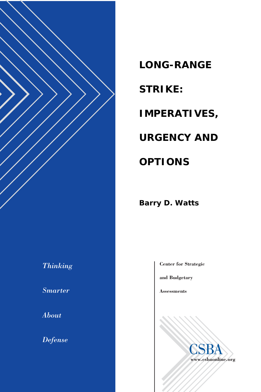

### *Thinking*

*Smarter* 

*About* 

*Defense*

*LONG-RANGE STRIKE: IMPERATIVES, URGENCY AND OPTIONS* 

*Barry D. Watts* 

**Center for Strategic**

**and Budgetary**

**Assessments**

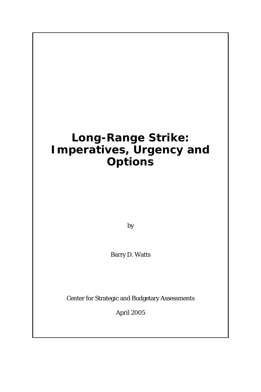### **Long-Range Strike: Imperatives, Urgency and Options**

by

Barry D. Watts

Center for Strategic and Budgetary Assessments

April 2005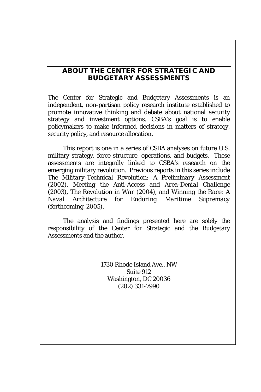#### **ABOUT THE CENTER FOR STRATEGIC AND BUDGETARY ASSESSMENTS**

The Center for Strategic and Budgetary Assessments is an independent, non-partisan policy research institute established to promote innovative thinking and debate about national security strategy and investment options. CSBA's goal is to enable policymakers to make informed decisions in matters of strategy, security policy, and resource allocation.

This report is one in a series of CSBA analyses on future U.S. military strategy, force structure, operations, and budgets. These assessments are integrally linked to CSBA's research on the emerging military revolution. Previous reports in this series include *The Military-Technical Revolution: A Preliminary Assessment* (2002), *Meeting the Anti-Access and Area-Denial Challenge* (2003), *The Revolution in War* (2004), and *Winning the Race: A Naval Architecture for Enduring Maritime Supremacy* (forthcoming, 2005).

The analysis and findings presented here are solely the responsibility of the Center for Strategic and the Budgetary Assessments and the author.

> 1730 Rhode Island Ave., NW Suite 912 Washington, DC 20036 (202) 331-7990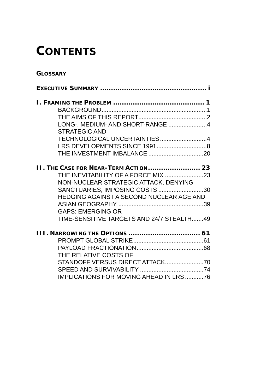## **CONTENTS**

#### **GLOSSARY**

| LONG-, MEDIUM- AND SHORT-RANGE 4                                      |
|-----------------------------------------------------------------------|
| STRATEGIC AND                                                         |
| TECHNOLOGICAL UNCERTAINTIES4                                          |
|                                                                       |
|                                                                       |
|                                                                       |
| <b>II. THE CASE FOR NEAR-TERM ACTION 23</b>                           |
| THE INEVITABILITY OF A FORCE MIX 23                                   |
| NON-NUCLEAR STRATEGIC ATTACK, DENYING                                 |
| SANCTUARIES, IMPOSING COSTS 30                                        |
| HEDGING AGAINST A SECOND NUCLEAR AGE AND                              |
|                                                                       |
| <b>GAPS: EMERGING OR</b><br>TIME-SENSITIVE TARGETS AND 24/7 STEALTH49 |
|                                                                       |
|                                                                       |
|                                                                       |
|                                                                       |
| THE RELATIVE COSTS OF                                                 |
|                                                                       |
|                                                                       |
| <b>IMPLICATIONS FOR MOVING AHEAD IN LRS76</b>                         |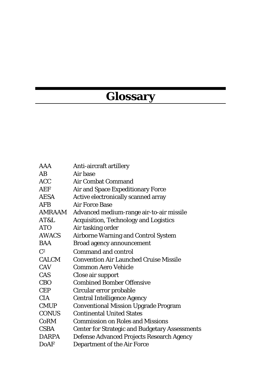# **Glossary**

| Anti-aircraft artillery                               |
|-------------------------------------------------------|
| Air hase                                              |
| Air Combat Command                                    |
| Air and Space Expeditionary Force                     |
| Active electronically scanned array                   |
| Air Force Base                                        |
| Advanced medium-range air-to-air missile              |
| <b>Acquisition, Technology and Logistics</b>          |
| Air tasking order                                     |
| <b>Airborne Warning and Control System</b>            |
| <b>Broad agency announcement</b>                      |
| Command and control                                   |
| <b>Convention Air Launched Cruise Missile</b>         |
| Common Aero Vehicle                                   |
| Close air support                                     |
| <b>Combined Bomber Offensive</b>                      |
| Circular error probable                               |
| <b>Central Intelligence Agency</b>                    |
| <b>Conventional Mission Upgrade Program</b>           |
| <b>Continental United States</b>                      |
| <b>Commission on Roles and Missions</b>               |
| <b>Center for Strategic and Budgetary Assessments</b> |
| Defense Advanced Projects Research Agency             |
| <b>Department of the Air Force</b>                    |
|                                                       |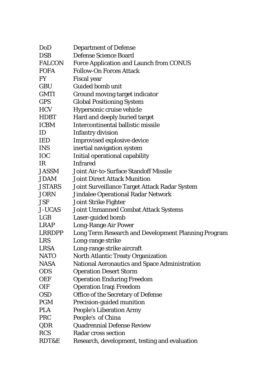| DoD           | <b>Department of Defense</b>                         |
|---------------|------------------------------------------------------|
| <b>DSB</b>    | Defense Science Board                                |
| <b>FALCON</b> | Force Application and Launch from CONUS              |
| <b>FOFA</b>   | <b>Follow-On Forces Attack</b>                       |
| FY            | <b>Fiscal</b> year                                   |
| <b>GBU</b>    | <b>Guided bomb unit</b>                              |
| <b>GMTI</b>   | Ground moving target indicator                       |
| <b>GPS</b>    | <b>Global Positioning System</b>                     |
| <b>HCV</b>    | Hypersonic cruise vehicle                            |
| <b>HDBT</b>   | Hard and deeply buried target                        |
| <b>ICBM</b>   | Intercontinental ballistic missile                   |
| ID            | <b>Infantry division</b>                             |
| IED           | <b>Improvised explosive device</b>                   |
| <b>INS</b>    | inertial navigation system                           |
| <b>IOC</b>    | Initial operational capability                       |
| IR            | <b>Infrared</b>                                      |
| <b>JASSM</b>  | Joint Air-to-Surface Standoff Missile                |
| <b>JDAM</b>   | <b>Joint Direct Attack Munition</b>                  |
| <b>JSTARS</b> | Joint Surveillance Target Attack Radar System        |
| JORN          | <b>Jindalee Operational Radar Network</b>            |
| <b>JSF</b>    | <b>Joint Strike Fighter</b>                          |
| <b>J-UCAS</b> | <b>Joint Unmanned Combat Attack Systems</b>          |
| LGB           | Laser-guided bomb                                    |
| <b>LRAP</b>   | Long-Range Air Power                                 |
| <b>LRRDPP</b> | Long Term Research and Development Planning Program  |
| <b>LRS</b>    | Long-range strike                                    |
| <b>LRSA</b>   | Long-range strike aircraft                           |
| <b>NATO</b>   | North Atlantic Treaty Organization                   |
| <b>NASA</b>   | <b>National Aeronautics and Space Administration</b> |
| <b>ODS</b>    | <b>Operation Desert Storm</b>                        |
| <b>OEF</b>    | <b>Operation Enduring Freedom</b>                    |
| <b>OIF</b>    | <b>Operation Iraqi Freedom</b>                       |
| <b>OSD</b>    | Office of the Secretary of Defense                   |
| <b>PGM</b>    | Precision-guided munition                            |
| PLA           | <b>People's Liberation Army</b>                      |
| PRC           | People's of China                                    |
| QDR           | Quadrennial Defense Review                           |
| <b>RCS</b>    | Radar cross section                                  |
| RDT&E         | Research, development, testing and evaluation        |
|               |                                                      |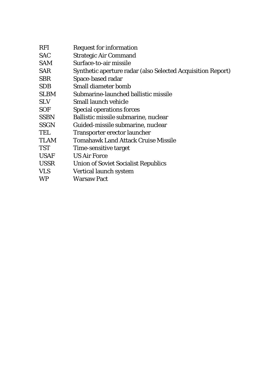| <b>RFI</b>  | <b>Request for information</b>                              |
|-------------|-------------------------------------------------------------|
| <b>SAC</b>  | <b>Strategic Air Command</b>                                |
| SAM         | Surface-to-air missile                                      |
| <b>SAR</b>  | Synthetic aperture radar (also Selected Acquisition Report) |
| <b>SBR</b>  | Space-based radar                                           |
| <b>SDB</b>  | Small diameter bomb                                         |
| <b>SLBM</b> | Submarine-launched ballistic missile                        |
| <b>SLV</b>  | Small launch vehicle                                        |
| <b>SOF</b>  | <b>Special operations forces</b>                            |
| <b>SSBN</b> | Ballistic missile submarine, nuclear                        |
| <b>SSGN</b> | Guided-missile submarine, nuclear                           |
| TEL         | Transporter erector launcher                                |
| <b>TLAM</b> | <b>Tomahawk Land Attack Cruise Missile</b>                  |
| TST         | Time-sensitive target                                       |
| <b>USAF</b> | <b>US Air Force</b>                                         |
| <b>USSR</b> | <b>Union of Soviet Socialist Republics</b>                  |
| <b>VLS</b>  | Vertical launch system                                      |
| WP          | <b>Warsaw Pact</b>                                          |
|             |                                                             |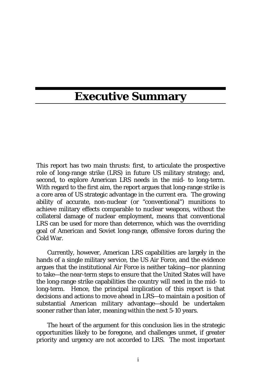### **Executive Summary**

This report has two main thrusts: first, to articulate the prospective role of long-range strike (LRS) in future US military strategy; and, second, to explore American LRS needs in the mid- to long-term. With regard to the first aim, the report argues that long-range strike is a core area of US strategic advantage in the current era. The growing ability of accurate, non-nuclear (or "conventional") munitions to achieve military effects comparable to nuclear weapons, *without* the collateral damage of nuclear employment, means that conventional LRS can be used for more than deterrence, which was the overriding goal of American and Soviet long-range, offensive forces during the Cold War.

Currently, however, American LRS capabilities are largely in the hands of a single military service, the US Air Force, and the evidence argues that the institutional Air Force is neither taking—nor planning to take—the near-term steps to ensure that the United States will have the long-range strike capabilities the country will need in the mid- to long-term. Hence, the principal implication of this report is that decisions and actions to move ahead in LRS—to maintain a position of substantial American military advantage—should be undertaken sooner rather than later, meaning within the next 5-10 years.

The heart of the argument for this conclusion lies in the strategic opportunities likely to be foregone, and challenges unmet, if greater priority and urgency are not accorded to LRS. The most important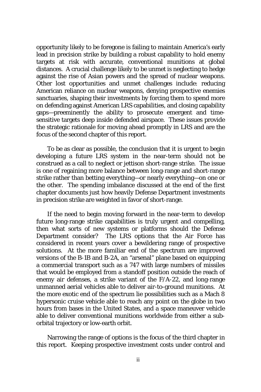opportunity likely to be foregone is failing to maintain America's early lead in precision strike by building a robust capability to hold enemy targets at risk with accurate, conventional munitions at global distances. A crucial challenge likely to be unmet is neglecting to hedge against the rise of Asian powers and the spread of nuclear weapons. Other lost opportunities and unmet challenges include: reducing American reliance on nuclear weapons, denying prospective enemies sanctuaries, shaping their investments by forcing them to spend more on defending against American LRS capabilities, and closing capability gaps—preeminently the ability to prosecute emergent and timesensitive targets deep inside defended airspace. These issues provide the strategic rationale for moving ahead promptly in LRS and are the focus of the second chapter of this report.

To be as clear as possible, the conclusion that it is urgent to begin developing a future LRS system in the near-term should not be construed as a call to neglect or jettison short-range strike. The issue is one of regaining more balance between long-range and short-range strike rather than betting everything—or nearly everything—on one or the other. The spending imbalance discussed at the end of the first chapter documents just how heavily Defense Department investments in precision strike are weighted in favor of short-range.

If the need to begin moving forward in the near-term to develop future long-range strike capabilities is truly urgent and compelling, then what sorts of new systems or platforms should the Defense Department consider? The LRS options that the Air Force has considered in recent years cover a bewildering range of prospective solutions. At the more familiar end of the spectrum are improved versions of the B-1B and B-2A, an "arsenal" plane based on equipping a commercial transport such as a 747 with large numbers of missiles that would be employed from a standoff position outside the reach of enemy air defenses, a strike variant of the F/A-22, and long-range unmanned aerial vehicles able to deliver air-to-ground munitions. At the more exotic end of the spectrum lie possibilities such as a Mach 8 hypersonic cruise vehicle able to reach any point on the globe in two hours from bases in the United States, and a space maneuver vehicle able to deliver conventional munitions worldwide from either a suborbital trajectory or low-earth orbit.

Narrowing the range of options is the focus of the third chapter in this report. Keeping prospective investment costs under control and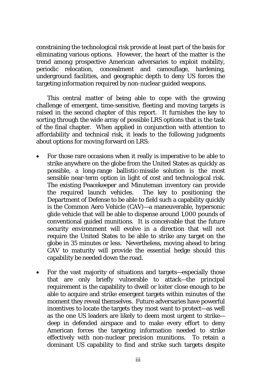constraining the technological risk provide at least part of the basis for eliminating various options. However, the heart of the matter is the trend among prospective American adversaries to exploit mobility, periodic relocation, concealment and camouflage, hardening, underground facilities, and geographic depth to deny US forces the targeting information required by non-nuclear guided weapons.

This central matter of being able to cope with the growing challenge of emergent, time-sensitive, fleeting and moving targets is raised in the second chapter of this report. It furnishes the key to sorting through the wide array of possible LRS options that is the task of the final chapter. When applied in conjunction with attention to affordability and technical risk, it leads to the following judgments about options for moving forward on LRS:

- For those rare occasions when it really is imperative to be able to strike anywhere on the globe from the United States as quickly as possible, a long-range ballistic-missile solution is the most sensible near-term option in light of cost and technological risk. The existing Peacekeeper and Minuteman inventory can provide the required launch vehicles. The key to positioning the Department of Defense to be able to field such a capability quickly is the Common Aero Vehicle (CAV)—a maneuverable, hypersonic glide vehicle that will be able to dispense around 1,000 pounds of conventional guided munitions. It is conceivable that the future security environment will evolve in a direction that will not require the United States to be able to strike any target on the globe in 35 minutes or less. Nevertheless, moving ahead to bring CAV to maturity will provide the essential hedge should this capability be needed down the road.
- For the vast majority of situations and targets—especially those that are only briefly vulnerable to attack—the principal requirement is the capability to dwell or loiter close enough to be able to acquire and strike emergent targets within minutes of the moment they reveal themselves. Future adversaries have powerful incentives to locate the targets they most want to protect—as well as the one US leaders are likely to deem most urgent to strike deep in defended airspace and to make every effort to deny American forces the targeting information needed to strike effectively with non-nuclear precision munitions. To retain a dominant US capability to find and strike such targets despite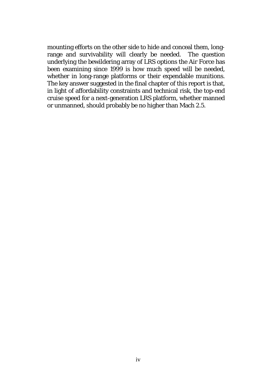mounting efforts on the other side to hide and conceal them, longrange and survivability will clearly be needed. The question underlying the bewildering array of LRS options the Air Force has been examining since 1999 is how much speed will be needed, whether in long-range platforms or their expendable munitions. The key answer suggested in the final chapter of this report is that, in light of affordability constraints and technical risk, the top-end cruise speed for a next-generation LRS platform, whether manned or unmanned, should probably be no higher than Mach 2.5.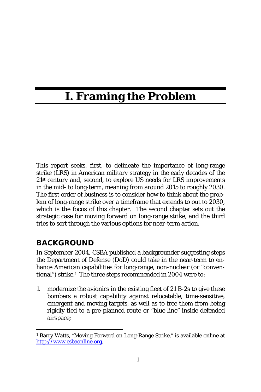### **I. Framing the Problem**

This report seeks, first, to delineate the importance of long-range strike (LRS) in American military strategy in the early decades of the 21st century and, second, to explore US needs for LRS improvements in the mid- to long-term, meaning from around 2015 to roughly 2030. The first order of business is to consider how to think about the problem of long-range strike over a timeframe that extends to out to 2030, which is the focus of this chapter. The second chapter sets out the strategic case for moving forward on long-range strike, and the third tries to sort through the various options for near-term action.

### **BACKGROUND**

In September 2004, CSBA published a backgrounder suggesting steps the Department of Defense (DoD) could take in the near-term to enhance American capabilities for long-range, non-nuclear (or "conventional") strike.1 The three steps recommended in 2004 were to:

1. modernize the avionics in the existing fleet of 21 B-2s to give these bombers a robust capability against relocatable, time-sensitive, emergent and moving targets, as well as to free them from being rigidly tied to a pre-planned route or "blue line" inside defended airspace;

 <sup>1</sup> Barry Watts, "Moving Forward on Long-Range Strike," is available online at http://www.csbaonline.org.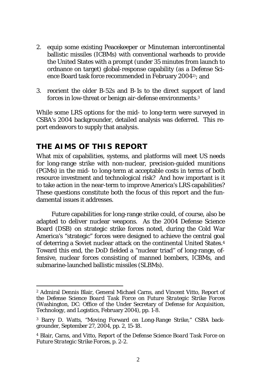- 2. equip some existing Peacekeeper or Minuteman intercontinental ballistic missiles (ICBMs) with conventional warheads to provide the United States with a prompt (under 35 minutes from launch to ordnance on target) global-response capability (as a Defense Science Board task force recommended in February 20042); and
- 3. reorient the older B-52s and B-1s to the direct support of land forces in low-threat or benign air-defense environments.3

While some LRS options for the mid- to long-term were surveyed in CSBA's 2004 backgrounder, detailed analysis was deferred. This report endeavors to supply that analysis.

### **THE AIMS OF THIS REPORT**

What *mix* of capabilities, systems, and platforms will meet US needs for long-range strike with non-nuclear, precision-guided munitions (PGMs) in the mid- to long-term at acceptable costs in terms of both resource investment and technological risk? And how important is it to take action in the near-term to improve America's LRS capabilities? These questions constitute both the focus of this report and the fundamental issues it addresses.

Future capabilities for long-range strike could, of course, also be adapted to deliver nuclear weapons. As the 2004 Defense Science Board (DSB) on strategic strike forces noted, during the Cold War America's "strategic" forces were designed to achieve the central goal of deterring a Soviet nuclear attack on the continental United States.4 Toward this end, the DoD fielded a "nuclear triad" of long-range, offensive, nuclear forces consisting of manned bombers, ICBMs, and submarine-launched ballistic missiles (SLBMs).

<sup>2</sup> Admiral Dennis Blair, General Michael Carns, and Vincent Vitto, *Report of the Defense Science Board Task Force on Future Strategic Strike Forces* (Washington, DC: Office of the Under Secretary of Defense for Acquisition, Technology, and Logistics, February 2004), pp. 1-8.

<sup>3</sup> Barry D. Watts, "Moving Forward on Long-Range Strike," CSBA backgrounder, September 27, 2004, pp. 2, 15-18.

<sup>4</sup> Blair, Carns, and Vitto, *Report of the Defense Science Board Task Force on Future Strategic Strike Forces*, p. 2-2.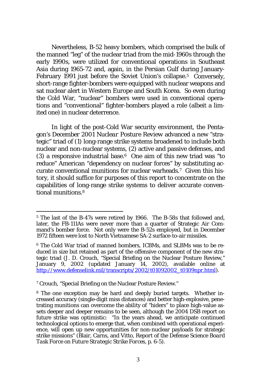Nevertheless, B-52 heavy bombers, which comprised the bulk of the manned "leg" of the nuclear triad from the mid-1960s through the early 1990s, were utilized for conventional operations in Southeast Asia during 1965-72 and, again, in the Persian Gulf during January-February 1991 just before the Soviet Union's collapse.<sup>5</sup> Conversely, short-range fighter-bombers were equipped with nuclear weapons and sat nuclear alert in Western Europe and South Korea. So even during the Cold War, "nuclear" bombers were used in conventional operations and "conventional" fighter-bombers played a role (albeit a limited one) in nuclear deterrence.

In light of the post-Cold War security environment, the Pentagon's December 2001 *Nuclear Posture Review* advanced a new "strategic" triad of (1) long-range strike systems broadened to include both nuclear and non-nuclear systems, (2) active and passive defenses, and (3) a responsive industrial base.6 One aim of this new triad was "to reduce" American "dependency on nuclear forces" by substituting accurate conventional munitions for nuclear warheads.7 Given this history, it should suffice for purposes of this report to concentrate on the capabilities of long-range strike systems to deliver accurate conventional munitions.8

7 Crouch, "Special Briefing on the Nuclear Posture Review."

<sup>&</sup>lt;sup>5</sup> The last of the B-47s were retired by 1966. The B-58s that followed and, later, the FB-111As were never more than a quarter of Strategic Air Command's bomber force. Not only were the B-52s employed, but in December 1972 fifteen were lost to North Vietnamese SA-2 surface-to-air missiles.

<sup>6</sup> The Cold War triad of manned bombers, ICBMs, and SLBMs was to be reduced in size but retained as part of the offensive component of the new strategic triad (J. D. Crouch, "Special Briefing on the Nuclear Posture Review," January 9, 2002 (updated January 14, 2002), available online at http://www.defenselink.mil/transcripts/2002/t01092002\_t0109npr.html).

<sup>8</sup> The one exception may be hard and deeply buried targets. Whether increased accuracy (single-digit miss distances) and better high-explosive, penetrating munitions can overcome the ability of "hiders" to place high-value assets deeper and deeper remains to be seen, although the 2004 DSB report on future strike was optimistic: "In the years ahead, we anticipate continued technological options to emerge that, when combined with operational experience, will open up new opportunities for non-nuclear payloads for strategic strike missions" (Blair, Carns, and Vitto, *Report of the Defense Science Board Task Force on Future Strategic Strike Forces*, p. 6-5).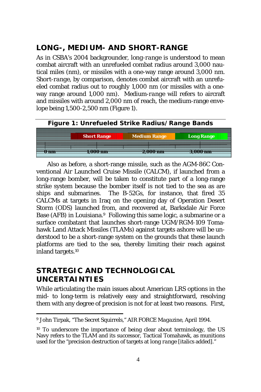### **LONG-, MEDIUM- AND SHORT-RANGE**

As in CSBA's 2004 backgrounder, *long-range* is understood to mean combat aircraft with an unrefueled combat radius around 3,000 nautical miles (nm), or missiles with a one-way range around 3,000 nm. *Short-range*, by comparison, denotes combat aircraft with an unrefueled combat radius out to roughly 1,000 nm (or missiles with a oneway range around 1,000 nm). *Medium-range* will refers to aircraft and missiles with around 2,000 nm of reach, the medium-range envelope being 1,500-2,500 nm (Figure 1).



Also as before, a short-range missile, such as the AGM-86C Conventional Air Launched Cruise Missile (CALCM), if launched from a long-range bomber, will be taken to constitute part of a long-range strike system because the bomber itself is not tied to the sea as are ships and submarines. The B-52Gs, for instance, that fired 35 CALCMs at targets in Iraq on the opening day of Operation Desert Storm (ODS) launched from, and recovered at, Barksdale Air Force Base (AFB) in Louisiana.<sup>9</sup> Following this same logic, a submarine or a surface combatant that launches short-range UGM/RGM-109 Tomahawk Land Attack Missiles (TLAMs) against targets ashore will be understood to be a short-range system on the grounds that these launch platforms are tied to the sea, thereby limiting their reach against inland targets.10

### **STRATEGIC AND TECHNOLOGICAL UNCERTAINTIES**

While articulating the main issues about American LRS options in the mid- to long-term is relatively easy and straightforward, resolving them with any degree of precision is not for at least two reasons. First,

 9 John Tirpak, "The Secret Squirrels," *AIR FORCE Magazine*, April 1994.

<sup>&</sup>lt;sup>10</sup> To underscore the importance of being clear about terminology, the US Navy refers to the TLAM and its successor, Tactical Tomahawk, as munitions used for the "precision destruction of targets at *long range* [italics added]."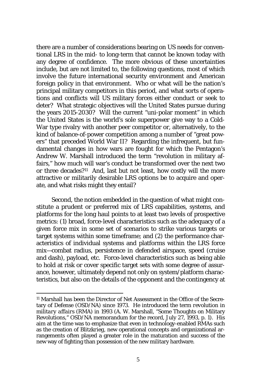there are a number of considerations bearing on US needs for conventional LRS in the mid- to long-term that cannot be known today with any degree of confidence. The more obvious of these uncertainties include, but are not limited to, the following questions, most of which involve the future international security environment and American foreign policy in that environment. Who or what will be the nation's principal military competitors in this period, and what sorts of operations and conflicts will US military forces either conduct or seek to deter? What strategic objectives will the United States pursue during the years 2015-2030? Will the current "uni-polar moment" in which the United States is the world's sole superpower give way to a Cold-War type rivalry with another peer competitor or, alternatively, to the kind of balance-of-power competition among a number of "great powers" that preceded World War II? Regarding the infrequent, but fundamental changes in how wars are fought for which the Pentagon's Andrew W. Marshall introduced the term "revolution in military affairs," how much will war's conduct be transformed over the next two or three decades?11 And, last but not least, how costly will the more attractive or militarily desirable LRS options be to acquire and operate, and what risks might they entail?

Second, the notion embedded in the question of what might constitute a prudent or preferred mix of LRS capabilities, systems, and platforms for the long haul points to at least two levels of prospective metrics: (1) broad, force-level characteristics such as the adequacy of a given force mix in some set of scenarios to strike various targets or target systems within some timeframe; and (2) the performance characteristics of individual systems and platforms within the LRS force mix—combat radius, persistence in defended airspace, speed (cruise and dash), payload, etc. Force-level characteristics such as being able to hold at risk or cover specific target sets with some degree of assurance, however, ultimately depend not only on system/platform characteristics, but also on the details of the opponent and the contingency at

<sup>&</sup>lt;sup>11</sup> Marshall has been the Director of Net Assessment in the Office of the Secretary of Defense (OSD/NA) since 1973. He introduced the term *revolution in military affairs* (*RMA*) in 1993 (A. W. Marshall, "Some Thoughts on Military Revolutions," OSD/NA memorandum for the record, July 27, 1993, p. 1). His aim at the time was to emphasize that even in technology-enabled RMAs such as the creation of *Blitzkrieg*, new operational concepts and organizational arrangements often played a greater role in the maturation and success of the new way of fighting than possession of the new military hardware.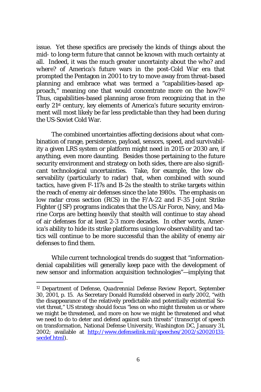issue. Yet these specifics are precisely the kinds of things about the mid- to long-term future that cannot be known with much certainty at all. Indeed, it was the much greater uncertainty about the *who?* and *where?* of America's future wars in the post-Cold War era that prompted the Pentagon in 2001 to try to move away from threat-based planning and embrace what was termed a "capabilities-based approach," meaning one that would concentrate more on the *how*?<sup>12</sup> Thus, capabilities-based planning arose from recognizing that in the early 21st century, key elements of America's future security environment will most likely be far less predictable than they had been during the US-Soviet Cold War.

The combined uncertainties affecting decisions about what combination of range, persistence, payload, sensors, speed, and survivability a given LRS system or platform might need in 2015 or 2030 are, if anything, even more daunting. Besides those pertaining to the future security environment and strategy on both sides, there are also significant technological uncertainties. Take, for example, the low observability (particularly to radar) that, when combined with sound tactics, have given F-117s and B-2s the stealth to strike targets within the reach of enemy air defenses since the late 1980s. The emphasis on low radar cross section (RCS) in the F/A-22 and F-35 Joint Strike Fighter (JSF) programs indicates that the US Air Force, Navy, and Marine Corps are betting heavily that stealth will continue to stay ahead of air defenses for at least 2-3 more decades. In other words, America's ability to hide its strike platforms using low observability and tactics will continue to be more successful than the ability of enemy air defenses to find them.

While current technological trends do suggest that "informationdenial capabilities will generally keep pace with the development of new sensor and information acquisition technologies"—implying that

<sup>12</sup> Department of Defense, *Quadrennial Defense Review Report*, September 30, 2001, p. 15. As Secretary Donald Rumsfeld observed in early 2002, "with the disappearance of the relatively predictable and potentially existential Soviet threat," US strategy should focus "less on who might threaten us or where we might be threatened, and more on how we might be threatened and what we need to do to deter and defend against such threats" (transcript of speech on transformation, National Defense University, Washington DC, January 31, 2002; available at http://www.defenselink.mil/speeches/2002/s20020131secdef.html).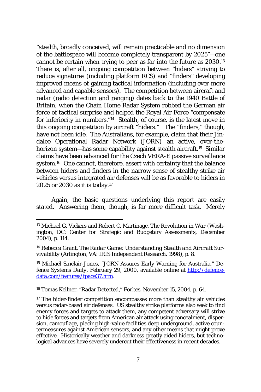"stealth, broadly conceived, will remain practicable and no dimension of the battlespace will become completely transparent by 2025"—one cannot be certain when trying to peer as far into the future as 2030.13 There is, after all, ongoing competition between "hiders" striving to reduce signatures (including platform RCS) and "finders" developing improved means of gaining tactical information (including ever more advanced and capable sensors). The competition between aircraft and radar (radio detection and ranging) dates back to the 1940 Battle of Britain, when the Chain Home Radar System robbed the German air force of tactical surprise and helped the Royal Air Force "compensate for inferiority in numbers."14 Stealth, of course, is the latest move in this ongoing competition by aircraft "hiders." The "finders," though, have not been idle. The Australians, for example, claim that their Jindalee Operational Radar Network (JORN)—an active, over-thehorizon system—has some capability against stealth aircraft.<sup>15</sup> Similar claims have been advanced for the Czech VERA-E passive surveillance system.16 One cannot, therefore, assert with certainty that the balance between hiders and finders in the narrow sense of stealthy strike air vehicles versus integrated air defenses will be as favorable to hiders in 2025 or 2030 as it is today.17

Again, the basic questions underlying this report are easily stated. Answering them, though, is far more difficult task. Merely

16 Tomas Kellner, "Radar Detected," *Forbes*, November 15, 2004, p. 64.

<sup>13</sup> Michael G. Vickers and Robert C. Martinage, *The Revolution in War* (Washington, DC: Center for Strategic and Budgetary Assessments, December 2004), p. 114.

<sup>14</sup> Rebecca Grant, *The Radar Game: Understanding Stealth and Aircraft Survivability* (Arlington, VA: IRIS Independent Research, 1998), p. 8.

<sup>15</sup> Michael Sinclair-Jones, "JORN Assures Early Warning for Australia," *Defence Systems Daily*, February 29, 2000, available online at http://defencedata.com/features/fpage37.htm.

<sup>&</sup>lt;sup>17</sup> The hider-finder competition encompasses more than stealthy air vehicles versus radar-based air defenses. US stealthy strike platforms also seek to find enemy forces and targets to attack them, any competent adversary will strive to hide forces and targets from American air attack using concealment, dispersion, camouflage, placing high-value facilities deep underground, active countermeasures against American sensors, and any other means that might prove effective. Historically weather and darkness greatly aided hiders, but technological advances have severely undercut their effectiveness in recent decades.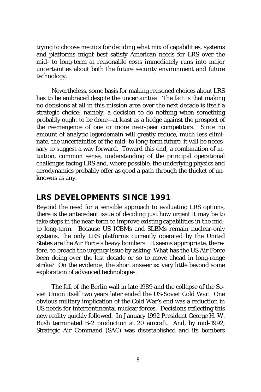trying to choose metrics for deciding what *mix* of capabilities, systems and platforms might best satisfy American needs for LRS over the mid- to long-term at reasonable costs immediately runs into major uncertainties about both the future security environment and future technology.

Nevertheless, some basis for making reasoned choices about LRS has to be embraced despite the uncertainties. The fact is that making no decisions at all in this mission area over the next decade is itself a strategic choice: namely, a decision to do nothing when something probably ought to be done—at least as a hedge against the prospect of the reemergence of one or more near-peer competitors. Since no amount of analytic legerdemain will greatly reduce, much less eliminate, the uncertainties of the mid- to long-term future, it will be necessary to suggest a way forward. Toward this end, a combination of intuition, common sense, understanding of the principal operational challenges facing LRS and, where possible, the underlying physics and aerodynamics probably offer as good a path through the thicket of unknowns as any.

### **LRS DEVELOPMENTS SINCE 1991**

Beyond the need for a sensible approach to evaluating LRS options, there is the antecedent issue of deciding just how urgent it may be to take steps in the near-term to improve existing capabilities in the midto long-term. Because US ICBMs and SLBMs remain nuclear-only systems, the only LRS platforms currently operated by the United States are the Air Force's heavy bombers. It seems appropriate, therefore, to broach the urgency issue by asking: What has the US Air Force been doing over the last decade or so to move ahead in long-range strike? On the evidence, the short answer is: very little beyond some exploration of advanced technologies.

The fall of the Berlin wall in late 1989 and the collapse of the Soviet Union itself two years later ended the US-Soviet Cold War. One obvious military implication of the Cold War's end was a reduction in US needs for intercontinental nuclear forces. Decisions reflecting this new reality quickly followed. In January 1992 President George H. W. Bush terminated B-2 production at 20 aircraft. And, by mid-1992, Strategic Air Command (SAC) was disestablished and its bombers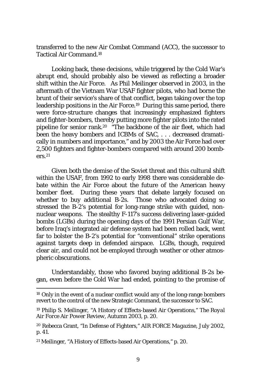transferred to the new Air Combat Command (ACC), the successor to Tactical Air Command.18

Looking back, these decisions, while triggered by the Cold War's abrupt end, should probably also be viewed as reflecting a broader shift within the Air Force. As Phil Meilinger observed in 2003, in the aftermath of the Vietnam War USAF fighter pilots, who had borne the brunt of their service's share of that conflict, began taking over the top leadership positions in the Air Force.19 During this same period, there were force-structure changes that increasingly emphasized fighters and fighter-bombers, thereby putting more fighter pilots into the rated pipeline for senior rank.20 "The backbone of the air fleet, which had been the heavy bombers and ICBMs of SAC, . . . decreased dramatically in numbers and importance," and by 2003 the Air Force had over 2,500 fighters and fighter-bombers compared with around 200 bomb- $\rho$ rs.  $21$ 

Given both the demise of the Soviet threat and this cultural shift within the USAF, from 1992 to early 1998 there was considerable debate within the Air Force about the future of the American heavy bomber fleet. During these years that debate largely focused on whether to buy additional B-2s. Those who advocated doing so stressed the B-2's potential for long-range strike with guided, nonnuclear weapons. The stealthy F-117's success delivering laser-guided bombs (LGBs) during the opening days of the 1991 Persian Gulf War, before Iraq's integrated air defense system had been rolled back, went far to bolster the B-2's potential for "conventional" strike operations against targets deep in defended airspace. LGBs, though, required clear air, and could not be employed through weather or other atmospheric obscurations.

Understandably, those who favored buying additional B-2s began, even before the Cold War had ended, pointing to the promise of

<sup>&</sup>lt;sup>18</sup> Only in the event of a nuclear conflict would any of the long-range bombers revert to the control of the new Strategic Command, the successor to SAC.

<sup>19</sup> Philip S. Meilinger, "A History of Effects-based Air Operations," *The Royal Air Force Air Power Review*, Autumn 2003, p. 20.

<sup>20</sup> Rebecca Grant, "In Defense of Fighters," *AIR FORCE Magazine*, July 2002, p. 41.

<sup>21</sup> Meilinger, "A History of Effects-based Air Operations," p. 20.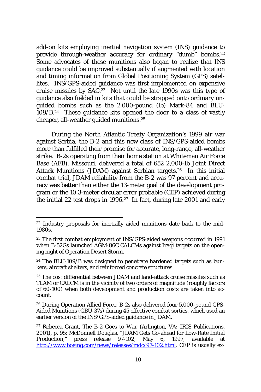add-on kits employing inertial navigation system (INS) guidance to provide through-weather accuracy for ordinary "dumb" bombs.<sup>22</sup> Some advocates of these munitions also began to realize that INS guidance could be improved substantially if augmented with location and timing information from Global Positioning System (GPS) satellites. INS/GPS-aided guidance was first implemented on expensive cruise missiles by SAC.23 Not until the late 1990s was this type of guidance also fielded in kits that could be strapped onto ordinary unguided bombs such as the 2,000-pound (lb) Mark-84 and BLU-109/B.24 These guidance kits opened the door to a class of vastly cheaper, all-weather guided munitions.25

During the North Atlantic Treaty Organization's 1999 air war against Serbia, the B-2 and this new class of INS/GPS-aided bombs more than fulfilled their promise for accurate, long-range, all-weather strike. B-2s operating from their home station at Whiteman Air Force Base (AFB), Missouri, delivered a total of 652 2,000-lb Joint Direct Attack Munitions (JDAM) against Serbian targets.26 In this initial combat trial, JDAM reliability from the B-2 was 97 percent and accuracy was better than either the 13-meter goal of the development program or the 10.3-meter circular error probable (CEP) achieved during the initial 22 test drops in 1996.27 In fact, during late 2001 and early

<sup>&</sup>lt;sup>22</sup> Industry proposals for inertially aided munitions date back to the mid-1980s.

<sup>23</sup> The first combat employment of INS/GPS-aided weapons occurred in 1991 when B-52Gs launched AGM-86C CALCMs against Iraqi targets on the opening night of Operation Desert Storm.

<sup>24</sup> The BLU-109/B was designed to penetrate hardened targets such as bunkers, aircraft shelters, and reinforced concrete structures.

<sup>&</sup>lt;sup>25</sup> The cost differential between JDAM and land-attack cruise missiles such as TLAM or CALCM is in the vicinity of two orders of magnitude (roughly factors of 60-100) when both development and production costs are taken into account.

<sup>26</sup> During Operation Allied Force, B-2s also delivered four 5,000-pound GPS-Aided Munitions (GBU-37s) during 45 effective combat sorties, which used an earlier version of the INS/GPS-aided guidance in JDAM.

<sup>27</sup> Rebecca Grant, *The B-2 Goes to War* (Arlington, VA: IRIS Publications, 2001), p. 95; McDonnell Douglas, "JDAM Gets Go-ahead for Low-Rate Initial Production," press release 97-102, May 6, 1997, available at http://www.boeing.com/news/releases/mdc/97-102.html. CEP is usually ex-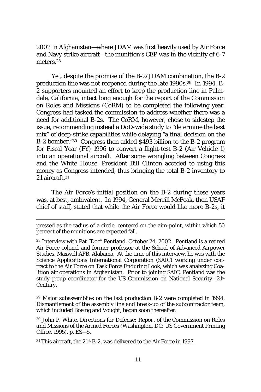2002 in Afghanistan—where JDAM was first heavily used by Air Force and Navy strike aircraft—the munition's CEP was in the vicinity of 6-7 meters<sup>28</sup>

Yet, despite the promise of the B-2/JDAM combination, the B-2 production line was not reopened during the late 1990s.29 In 1994, B-2 supporters mounted an effort to keep the production line in Palmdale, California, intact long enough for the report of the Commission on Roles and Missions (CoRM) to be completed the following year. Congress had tasked the commission to address whether there was a need for additional B-2s. The CoRM, however, chose to sidestep the issue, recommending instead a DoD-wide study to "determine the best mix" of deep-strike capabilities while delaying "a final decision on the B-2 bomber."30 Congress then added \$493 billion to the B-2 program for Fiscal Year (FY) 1996 to convert a flight-test B-2 (Air Vehicle 1) into an operational aircraft. After some wrangling between Congress and the White House, President Bill Clinton acceded to using this money as Congress intended, thus bringing the total B-2 inventory to  $21$  aircraft  $31$ 

The Air Force's initial position on the B-2 during these years was, at best, ambivalent. In 1994, General Merrill McPeak, then USAF chief of staff, stated that while the Air Force would like more B-2s, it

29 Major subassemblies on the last production B-2 were completed in 1994. Dismantlement of the assembly line and break-up of the subcontractor team, which included Boeing and Vought, began soon thereafter.

30 John P. White, *Directions for Defense: Report of the Commission on Roles and Missions of the Armed Forces* (Washington, DC: US Government Printing Office, 1995), p. ES—5.

<sup>31</sup> This aircraft, the 21<sup>st</sup> B-2, was delivered to the Air Force in 1997.

pressed as the radius of a circle, centered on the aim-point, within which 50 percent of the munitions are expected fall.

<sup>28</sup> Interview with Pat "Doc" Pentland, October 24, 2002. Pentland is a retired Air Force colonel and former professor at the School of Advanced Airpower Studies, Maxwell AFB, Alabama. At the time of this interview, he was with the Science Applications International Corporation (SAIC) working under contract to the Air Force on Task Force Enduring Look, which was analyzing Coalition air operations in Afghanistan. Prior to joining SAIC, Pentland was the study-group coordinator for the US Commission on National Security—21st Century.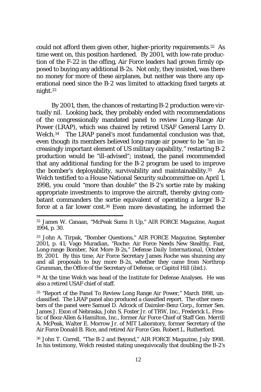could not afford them given other, higher-priority requirements.32 As time went on, this position hardened. By 2001, with low-rate production of the F-22 in the offing, Air Force leaders had grown firmly opposed to buying any additional B-2s. Not only, they insisted, was there no money for more of these airplanes, but neither was there any operational need since the B-2 was limited to attacking fixed targets at night.33

By 2001, then, the chances of restarting B-2 production were virtually nil. Looking back, they probably ended with recommendations of the congressionally mandated panel to review Long-Range Air Power (LRAP), which was chaired by retired USAF General Larry D. Welch.34 The LRAP panel's most fundamental conclusion was that, even though its members believed long-range air power to be "an increasingly important element of US military capability," restarting B-2 production would be "ill-advised"; instead, the panel recommended that any additional funding for the B-2 program be used to improve the bomber's deployability, survivability and maintainability.35 As Welch testified to a House National Security subcommittee on April 1, 1998, you could "more than double" the B-2's sortie rate by making appropriate investments to improve the aircraft, thereby giving combatant commanders the sortie equivalent of operating a larger B-2 force at a far lower cost.36 Even more devastating, he informed the

<sup>34</sup> At the time Welch was head of the Institute for Defense Analyses. He was also a retired USAF chief of staff.

36 John T. Correll, "The B-2 and Beyond," *AIR FORCE Magazine*, July 1998. In his testimony, Welch resisted stating unequivocally that doubling the B-2's

<sup>32</sup> James W. Canaan, "McPeak Sums It Up," *AIR FORCE Magazine*, August 1994, p. 30.

<sup>33</sup> John A. Tirpak, "Bomber Questions," *AIR FORCE Magazine*, September 2001, p. 41; Vago Muradian, "Roche: Air Force Needs New Stealthy, Fast, Long-range Bomber, Not More B-2s," *Defense Daily International*, October 19, 2001. By this time, Air Force Secretary James Roche was shunning any and all proposals to buy more B-2s, whether they came from Northrop Grumman, the Office of the Secretary of Defense, or Capitol Hill (ibid.).

<sup>35 &</sup>quot;Report of the Panel To Review Long Range Air Power," March 1998, unclassified. The LRAP panel also produced a classified report. The other members of the panel were Samuel D. Adcock of Daimler-Benz Corp., former Sen. James J. Exon of Nebraska, John S. Foster Jr. of TRW, Inc., Frederick L. Frostic of Booz·Allen & Hamilton, Inc., former Air Force Chief of Staff Gen. Merrill A. McPeak, Walter E. Morrow Jr. of MIT Laboratory, former Secretary of the Air Force Donald B. Rice, and retired Air Force Gen. Robert L. Rutherford.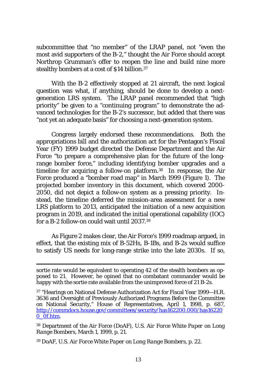subcommittee that "no member" of the LRAP panel, not "even the most avid supporters of the B-2," thought the Air Force should accept Northrop Grumman's offer to reopen the line and build nine more stealthy bombers at a cost of \$14 billion.37

With the B-2 effectively stopped at 21 aircraft, the next logical question was what, if anything, should be done to develop a nextgeneration LRS system. The LRAP panel recommended that "high priority" be given to a "continuing program" to demonstrate the advanced technologies for the B-2's successor, but added that there was "not yet an adequate basis" for choosing a next-generation system.

Congress largely endorsed these recommendations. Both the appropriations bill and the authorization act for the Pentagon's Fiscal Year (FY) 1999 budget directed the Defense Department and the Air Force "to prepare a comprehensive plan for the future of the longrange bomber force," including identifying bomber upgrades and a timeline for acquiring a follow-on platform.38 In response, the Air Force produced a "bomber road map" in March 1999 (Figure 1). The projected bomber inventory in this document, which covered 2000- 2050, did not depict a follow-on system as a pressing priority. Instead, the timeline deferred the mission-area assessment for a new LRS platform to 2013, anticipated the initiation of a new acquisition program in 2019, and indicated the initial operational capability (IOC) for a B-2 follow-on could wait until 2037.39

As Figure 2 makes clear, the Air Force's 1999 roadmap argued, in effect, that the existing mix of B-52Hs, B-1Bs, and B-2s would suffice to satisfy US needs for long-range strike into the late 2030s. If so,

39 DoAF, *U.S. Air Force White Paper on Long Range Bombers*, p. 22.

sortie rate would be equivalent to operating 42 of the stealth bombers as opposed to 21. However, he opined that no combatant commander would be happy with the sortie rate available from the unimproved force of 21 B-2s.

<sup>37 &</sup>quot;Hearings on National Defense Authorization Act for Fiscal Year 1999—H.R. 3636 and Oversight of Previously Authorized Programs Before the Committee on National Security," House of Representatives, April 1, 1998, p. 687, http://commdocs.house.gov/committees/security/has162200.000/has16220 0\_0f.htm.

<sup>38</sup> Department of the Air Force (DoAF), *U.S. Air Force White Paper on Long Range Bombers*, March 1, 1999, p. 21.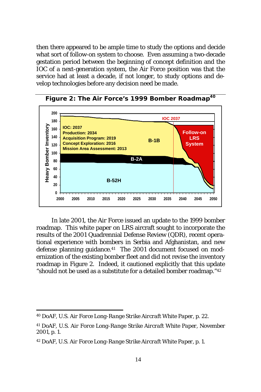then there appeared to be ample time to study the options and decide what sort of follow-on system to choose. Even assuming a two-decade gestation period between the beginning of concept definition and the IOC of a next-generation system, the Air Force position was that the service had at least a decade, if not longer, to study options and develop technologies before any decision need be made.



Figure 2: The Air Force's 1999 Bomber Roadmap<sup>40</sup>

In late 2001, the Air Force issued an update to the 1999 bomber roadmap. This white paper on LRS aircraft sought to incorporate the results of the 2001 Quadrennial Defense Review (QDR), recent operational experience with bombers in Serbia and Afghanistan, and new defense planning guidance.<sup>41</sup> The 2001 document focused on modernization of the existing bomber fleet and did not revise the inventory roadmap in Figure 2. Indeed, it cautioned explicitly that this update "should not be used as a substitute for a detailed bomber roadmap."42

<sup>40</sup> DoAF, *U.S. Air Force Long-Range Strike Aircraft White Paper*, p. 22.

<sup>41</sup> DoAF, *U.S. Air Force Long-Range Strike Aircraft White Paper*, November 2001, p. 1.

<sup>42</sup> DoAF, *U.S. Air Force Long-Range Strike Aircraft White Paper*, p. 1.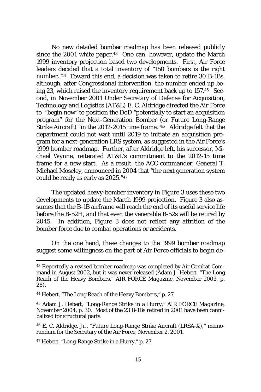No new detailed bomber roadmap has been released publicly since the 2001 white paper.<sup>43</sup> One can, however, update the March 1999 inventory projection based two developments. First, Air Force leaders decided that a total inventory of "150 bombers is the right number."44 Toward this end, a decision was taken to retire 30 B-1Bs, although, after Congressional intervention, the number ended up being 23, which raised the inventory requirement back up to 157.45 Second, in November 2001 Under Secretary of Defense for Acquisition, Technology and Logistics (AT&L) E. C. Aldridge directed the Air Force to "begin now" to position the DoD "potentially to start an acquisition program" for the Next-Generation Bomber (or Future Long-Range Strike Aircraft) "in the 2012-2015 time frame."46 Aldridge felt that the department could not wait until 2019 to initiate an acquisition program for a next-generation LRS system, as suggested in the Air Force's 1999 bomber roadmap. Further, after Aldridge left, his successor, Michael Wynne, reiterated AT&L's commitment to the 2012-15 time frame for a new start. As a result, the ACC commander, General T. Michael Moseley, announced in 2004 that "the next generation system could be ready as early as 2025."47

The updated heavy-bomber inventory in Figure 3 uses these two developments to update the March 1999 projection. Figure 3 also assumes that the B-1B airframe will reach the end of its useful service life before the B-52H, and that even the venerable B-52s will be retired by 2045. In addition, Figure 3 does not reflect any attrition of the bomber force due to combat operations or accidents.

On the one hand, these changes to the 1999 bomber roadmap suggest some willingness on the part of Air Force officials to begin de-

47 Hebert, "Long-Range Strike in a Hurry," p. 27.

<sup>43</sup> Reportedly a revised bomber roadmap was completed by Air Combat Command in August 2002, but it was never released (Adam J. Hebert, "The Long Reach of the Heavy Bombers," *AIR FORCE Magazine*, November 2003, p. 28).

<sup>44</sup> Hebert, "The Long Reach of the Heavy Bombers," p. 27.

<sup>45</sup> Adam J. Hebert, "Long-Range Strike in a Hurry," *AIR FORCE Magazine*, November 2004, p. 30. Most of the 23 B-1Bs retired in 2001 have been cannibalized for structural parts.

<sup>46</sup> E. C. Aldridge, Jr., "Future Long-Range Strike Aircraft (LRSA-X)," memorandum for the Secretary of the Air Force, November 2, 2001.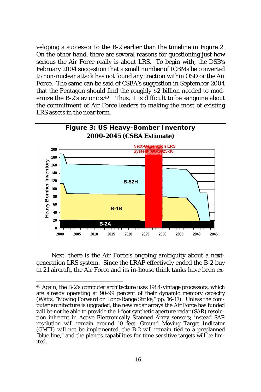veloping a successor to the B-2 earlier than the timeline in Figure 2. On the other hand, there are several reasons for questioning just how serious the Air Force really is about LRS. To begin with, the DSB's February 2004 suggestion that a small number of ICBMs be converted to non-nuclear attack has not found any traction within OSD or the Air Force. The same can be said of CSBA's suggestion in September 2004 that the Pentagon should find the roughly \$2 billion needed to modernize the B-2's avionics.<sup>48</sup> Thus, it is difficult to be sanguine about the commitment of Air Force leaders to making the most of existing LRS assets in the near term.



Next, there is the Air Force's ongoing ambiguity about a nextgeneration LRS system. Since the LRAP effectively ended the B-2 buy at 21 aircraft, the Air Force and its in-house think tanks have been ex-

<sup>48</sup> Again, the B-2's computer architecture uses 1984-vintage processors, which are already operating at 90-99 percent of their dynamic memory capacity (Watts, "Moving Forward on Long-Range Strike," pp. 16-17). Unless the computer architecture is upgraded, the new radar arrays the Air Force has funded will be not be able to provide the 1-foot synthetic aperture radar (SAR) resolution inherent in Active Electronically Scanned Array sensors; instead SAR resolution will remain around 10 feet, Ground Moving Target Indicator (GMTI) will not be implemented, the B-2 will remain tied to a preplanned "blue line," and the plane's capabilities for time-sensitive targets will be limited.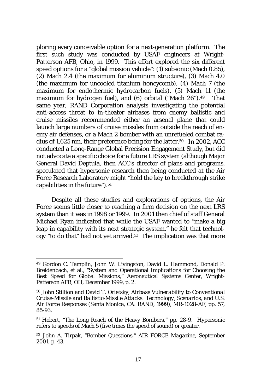ploring every conceivable option for a next-generation platform. The first such study was conducted by USAF engineers at Wright-Patterson AFB, Ohio, in 1999. This effort explored the six different speed options for a "global mission vehicle": (1) subsonic (Mach 0.85), (2) Mach 2.4 (the maximum for aluminum structure), (3) Mach 4.0 (the maximum for uncooled titanium honeycomb), (4) Mach 7 (the maximum for endothermic hydrocarbon fuels), (5) Mach 11 (the maximum for hydrogen fuel), and (6) orbital ("Mach 26").<sup>49</sup> That same year, RAND Corporation analysts investigating the potential anti-access threat to in-theater airbases from enemy ballistic and cruise missiles recommended either an arsenal plane that could launch large numbers of cruise missiles from outside the reach of enemy air defenses, or a Mach 2 bomber with an unrefueled combat radius of 1,625 nm, their preference being for the latter.50 In 2002, ACC conducted a Long-Range Global Precision Engagement Study, but did not advocate a specific choice for a future LRS system (although Major General David Deptula, then ACC's director of plans and programs, speculated that hypersonic research then being conducted at the Air Force Research Laboratory might "hold the key to breakthrough strike capabilities in the future").<sup>51</sup>

Despite all these studies and explorations of options, the Air Force seems little closer to reaching a firm decision on the next LRS system than it was in 1998 or 1999. In 2001 then chief of staff General Michael Ryan indicated that while the USAF wanted to "make a big leap in capability with its next strategic system," he felt that technol- $\log y$  "to do that" had not yet arrived.<sup>52</sup> The implication was that more

<sup>49</sup> Gordon C. Tamplin, John W. Livingston, David L. Hammond, Donald P. Breidenbach, et al., "System and Operational Implications for Choosing the Best Speed for Global Missions," Aeronautical Systems Center, Wright-Patterson AFB, OH, December 1999, p. 2.

<sup>50</sup> John Stillion and David T. Orletsky, *Airbase Vulnerability to Conventional Cruise-Missile and Ballistic-Missile Attacks: Technology, Scenarios, and U.S. Air Force Responses* (Santa Monica, CA: RAND, 1999), MR-1028-AF, pp. 57, 85-93.

<sup>51</sup> Hebert, "The Long Reach of the Heavy Bombers," pp. 28-9. Hypersonic refers to speeds of Mach 5 (five times the speed of sound) or greater.

<sup>52</sup> John A. Tirpak, "Bomber Questions," *AIR FORCE Magazine*, September 2001, p. 43.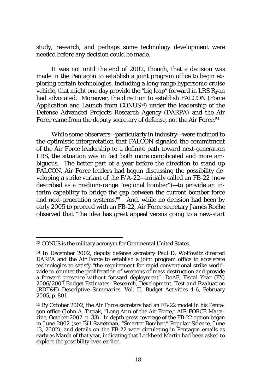study, research, and perhaps some technology development were needed before any decision could be made.

It was not until the end of 2002, though, that a decision was made in the Pentagon to establish a joint program office to begin exploring certain technologies, including a long-range hypersonic-cruise vehicle, that might one day provide the "big leap" forward in LRS Ryan had advocated. Moreover, the direction to establish FALCON (*F*orce *A*pplication and *L*aunch from *CON*US53) under the leadership of the Defense Advanced Projects Research Agency (DARPA) and the Air Force came from the deputy secretary of defense, not the Air Force.<sup>54</sup>

While some observers—particularly in industry—were inclined to the optimistic interpretation that FALCON signaled the commitment of the Air Force leadership to a definite path toward next-generation LRS, the situation was in fact both more complicated and more ambiguous. The better part of a year before the direction to stand up FALCON, Air Force leaders had begun discussing the possibility developing a strike variant of the F/A-22—initially called an FB-22 (now described as a medium-range "regional bomber")—to provide an interim capability to bridge the gap between the current bomber force and next-generation systems.<sup>55</sup> And, while no decision had been by early 2005 to proceed with an FB-22, Air Force secretary James Roche observed that "the idea has great appeal versus going to a new-start

<sup>53</sup> CONUS is the military acronym for Continental United States.

<sup>54</sup> In December 2002, deputy defense secretary Paul D. Wolfowitz directed DARPA and the Air Force to establish a joint program office to accelerate technologies to satisfy "the requirement for rapid conventional strike worldwide to counter the proliferation of weapons of mass destruction and provide a forward presence without forward deployment"—DoAF, *Fiscal Year (FY) 2006/2007 Budget Estimates: Research, Development, Test and Evaluation (RDT&E) Descriptive Summaries*, Vol. II, Budget Activities 4-6, February 2005, p. 801.

<sup>55</sup> By October 2002, the Air Force secretary had an FB-22 model in his Pentagon office (John A. Tirpak, "Long Arm of the Air Force," *AIR FORCE Magazine*, October 2002, p. 33). In depth press coverage of the FB-22 option began in June 2002 (see Bill Sweetman, "Smarter Bomber," *Popular Science*, June 13, 2002), and details on the FB-22 were circulating in Pentagon emails as early as March of that year, indicating that Lockheed Martin had been asked to explore the possibility even earlier.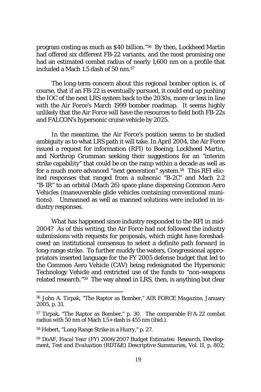program costing as much as \$40 billion."56 By then, Lockheed Martin had offered six different FB-22 variants, and the most promising one had an estimated combat radius of nearly 1,600 nm on a profile that included a Mach 1.5 dash of 50 nm.57

The long-term concern about this regional bomber option is, of course, that if an FB-22 is eventually pursued, it could end up pushing the IOC of the next LRS system back to the 2030s, more or less in line with the Air Force's March 1999 bomber roadmap. It seems highly unlikely that the Air Force will have the resources to field both FB-22s and FALCON's hypersonic cruise vehicle by 2025.

In the meantime, the Air Force's position seems to be studied ambiguity as to what LRS path it will take. In April 2004, the Air Force issued a request for information (RFI) to Boeing, Lockheed Martin, and Northrop Grumman seeking their suggestions for an "interim strike capability" that could be on the ramp within a decade as well as for a much more advanced "next generation" system.58 This RFI elicited responses that ranged from a subsonic "B-2C" and Mach 2.2 "B-1R" to an orbital (Mach 26) space plane dispensing Common Aero Vehicles (maneuverable glide vehicles containing conventional munitions). Unmanned as well as manned solutions were included in industry responses.

What has happened since industry responded to the RFI in mid-2004? As of this writing, the Air Force had not followed the industry submissions with requests for proposals, which might have foreshadowed an institutional consensus to select a definite path forward in long-range strike. To further muddy the waters, Congressional appropriators inserted language for the FY 2005 defense budget that led to the Common Aero Vehicle (CAV) being redesignated the Hypersonic Technology Vehicle and restricted use of the funds to "non-weapons related research."59 The way ahead in LRS, then, is anything but clear

<sup>56</sup> John A. Tirpak, "The Raptor as Bomber," *AIR FORCE Magazine*, January 2005, p. 31.

<sup>57</sup> Tirpak, "The Raptor as Bomber," p. 30. The comparable F/A-22 combat radius with 50 nm of Mach  $1.5+$  dash is 455 nm (ibid.).

<sup>58</sup> Hebert, "Long-Range Strike in a Hurry," p. 27.

<sup>59</sup> DoAF, *Fiscal Year (FY) 2006/2007 Budget Estimates: Research, Development, Test and Evaluation (RDT&E) Descriptive Summaries*, Vol. II, p. 802;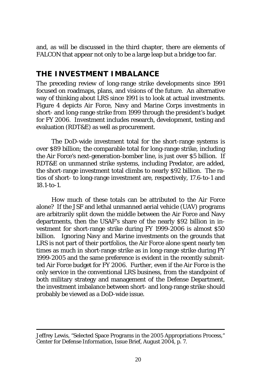and, as will be discussed in the third chapter, there are elements of FALCON that appear not only to be a large leap but a bridge too far.

#### **THE INVESTMENT IMBALANCE**

The preceding review of long-range strike developments since 1991 focused on roadmaps, plans, and visions of the future. An alternative way of thinking about LRS since 1991 is to look at actual investments. Figure 4 depicts Air Force, Navy and Marine Corps investments in short- and long-range strike from 1999 through the president's budget for FY 2006. Investment includes research, development, testing and evaluation (RDT&E) as well as procurement.

The DoD-wide investment total for the short-range systems is over \$89 billion; the comparable total for long-range strike, including the Air Force's next-generation-bomber line, is just over \$5 billion. If RDT&E on unmanned strike systems, including Predator, are added, the short-range investment total climbs to nearly \$92 billion. The ratios of short- to long-range investment are, respectively, 17.6-to-1 and 18.1-to-1.

How much of these totals can be attributed to the Air Force alone? If the JSF and lethal unmanned aerial vehicle (UAV) programs are arbitrarily split down the middle between the Air Force and Navy departments, then the USAF's share of the nearly \$92 billion in investment for short-range strike during FY 1999-2006 is almost \$50 billion. Ignoring Navy and Marine investments on the grounds that LRS is not part of their portfolios, the Air Force alone spent nearly ten times as much in short-range strike as in long-range strike during FY 1999-2005 and the same preference is evident in the recently submitted Air Force budget for FY 2006. Further, even if the Air Force is the only service in the conventional LRS business, from the standpoint of both military strategy and management of the Defense Department, the investment imbalance between short- and long-range strike should probably be viewed as a DoD-wide issue.

Jeffrey Lewis, "Selected Space Programs in the 2005 Appropriations Process," Center for Defense Information, Issue Brief, August 2004, p. 7.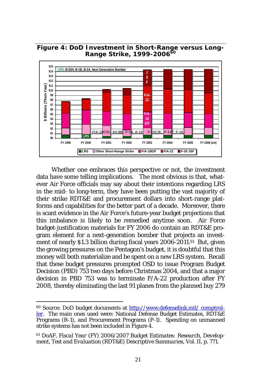

**Figure 4: DoD Investment in Short-Range versus Long-**

Whether one embraces this perspective or not, the investment data have some telling implications. The most obvious is that, whatever Air Force officials may say about their intentions regarding LRS in the mid- to long-term, they have been putting the vast majority of their strike RDT&E and procurement dollars into short-range platforms and capabilities for the better part of a decade. Moreover, there is scant evidence in the Air Force's future-year budget projections that this imbalance is likely to be remedied anytime soon. Air Force budget-justification materials for FY 2006 do contain an RDT&E program element for a next-generation bomber that projects an investment of nearly \$1.3 billion during fiscal years 2006-2011.<sup>61</sup> But, given the growing pressures on the Pentagon's budget, it is doubtful that this money will both materialize and be spent on a new LRS system. Recall that these budget pressures prompted OSD to issue Program Budget Decision (PBD) 753 two days before Christmas 2004, and that a major decision in PBD 753 was to terminate F/A-22 production after FY 2008, thereby eliminating the last 91 planes from the planned buy 279

<sup>60</sup> Source: DoD budget documents at http://www.defenselink.mil/ comptroller. The main ones used were: National Defense Budget Estimates, RDT&E Programs (R-1), and Procurement Programs (P-1). Spending on unmanned strike systems has not been included in Figure 4.

<sup>61</sup> DoAF, *Fiscal Year (FY) 2006/2007 Budget Estimates: Research, Development, Test and Evaluation (RDT&E) Descriptive Summaries*, Vol. II, p. 771.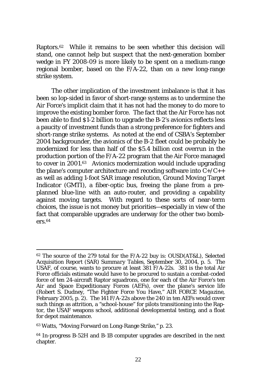Raptors.62 While it remains to be seen whether this decision will stand, one cannot help but suspect that the next-generation bomber wedge in FY 2008-09 is more likely to be spent on a medium-range regional bomber, based on the F/A-22, than on a new long-range strike system.

The other implication of the investment imbalance is that it has been so lop-sided in favor of short-range systems as to undermine the Air Force's implicit claim that it has not had the money to do more to improve the existing bomber force. The fact that the Air Force has not been able to find \$1-2 billion to upgrade the B-2's avionics reflects less a paucity of investment funds than a strong preference for fighters and short-range strike systems. As noted at the end of CSBA's September 2004 backgrounder, the avionics of the B-2 fleet could be probably be modernized for less than half of the \$5.4 billion cost overrun in the production portion of the F/A-22 program that the Air Force managed to cover in 2001.63 Avionics modernization would include upgrading the plane's computer architecture and recoding software into  $C+ / C++$ as well as adding 1-foot SAR image resolution, Ground Moving Target Indicator (GMTI), a fiber-optic bus, freeing the plane from a preplanned blue-line with an auto-router, and providing a capability against moving targets. With regard to these sorts of near-term choices, the issue is not money but priorities—especially in view of the fact that comparable upgrades are underway for the other two bombers.64

<sup>62</sup> The source of the 279 total for the F/A-22 buy is: OUSD(AT&L), *Selected Acquisition Report (SAR) Summary Tables*, September 30, 2004, p. 5. The USAF, of course, wants to procure at least 381 F/A-22s. 381 is the total Air Force officials estimate would have to be procured to sustain a combat-coded force of ten 24-aircraft Raptor squadrons, one for each of the Air Force's ten Air and Space Expeditionary Forces (AEFs), over the plane's service life (Robert S. Dudney, "The Fighter Force You Have," *AIR FORCE Magazine*, February 2005, p. 2). The 141 F/A-22s above the 240 in ten AEFs would cover such things as attrition, a "school-house" for pilots transitioning into the Raptor, the USAF weapons school, additional developmental testing, and a float for depot maintenance.

<sup>63</sup> Watts, "Moving Forward on Long-Range Strike," p. 23.

<sup>64</sup> In-progress B-52H and B-1B computer upgrades are described in the next chapter.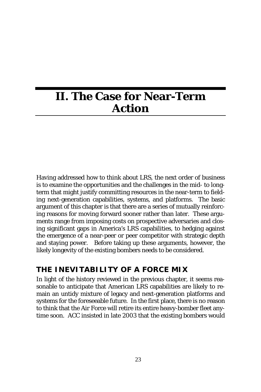# **II. The Case for Near-Term Action**

Having addressed how to think about LRS, the next order of business is to examine the opportunities and the challenges in the mid- to longterm that might justify committing resources in the near-term to fielding next-generation capabilities, systems, and platforms. The basic argument of this chapter is that there are a series of mutually reinforcing reasons for moving forward sooner rather than later. These arguments range from imposing costs on prospective adversaries and closing significant gaps in America's LRS capabilities, to hedging against the emergence of a near-peer or peer competitor with strategic depth and staying power. Before taking up these arguments, however, the likely longevity of the existing bombers needs to be considered.

## **THE INEVITABILITY OF A FORCE MIX**

In light of the history reviewed in the previous chapter, it seems reasonable to anticipate that American LRS capabilities are likely to remain an untidy mixture of legacy and next-generation platforms and systems for the foreseeable future. In the first place, there is no reason to think that the Air Force will retire its entire heavy-bomber fleet anytime soon. ACC insisted in late 2003 that the existing bombers would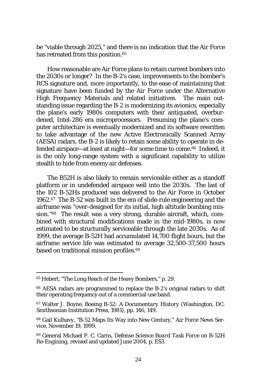be "viable through 2025," and there is no indication that the Air Force has retreated from this position.<sup>65</sup>

How reasonable are Air Force plans to retain current bombers into the 2030s or longer? In the B-2's case, improvements to the bomber's RCS signature and, more importantly, to the ease of maintaining that signature have been funded by the Air Force under the Alternative High Frequency Materials and related initiatives. The main outstanding issue regarding the B-2 is modernizing its avionics, especially the plane's early 1980s computers with their antiquated, overburdened, Intel-286 era microprocessors. Presuming the plane's computer architecture is eventually modernized and its software rewritten to take advantage of the new Active Electronically Scanned Array (AESA) radars, the B-2 is likely to retain some ability to operate in defended airspace—at least at night—for some time to come.66 Indeed, it is the only long-range system with a significant capability to utilize stealth to hide from enemy air defenses.

The B52H is also likely to remain serviceable either as a standoff platform or in undefended airspace well into the 2030s. The last of the 102 B-52Hs produced was delivered to the Air Force in October 1962.67 The B-52 was built in the era of slide-rule engineering and the airframe was "over-designed for its initial, high altitude bombing mission."68 The result was a very strong, durable aircraft, which, combined with structural modifications made in the mid-1980s, is now estimated to be structurally serviceable through the late 2030s. As of 1999, the average B-52H had accumulated 14,700 flight hours, but the airframe service life was estimated to average 32,500-37,500 hours based on traditional mission profiles.<sup>69</sup>

<sup>65</sup> Hebert, "The Long Reach of the Heavy Bombers," p. 29.

<sup>66</sup> AESA radars are programmed to replace the B-2's original radars to shift their operating frequency out of a commercial-use band.

<sup>67</sup> Walter J. Boyne, *Boeing B-52: A Documentary History* (Washington, DC: Smithsonian Institution Press, 1981), pp. 146, 149.

<sup>68</sup> Gail Kulhavy, "B-52 Maps Its Way into New Century," Air Force News Service, November 19, 1999.

<sup>69</sup> General Michael P. C. Carns, *Defense Science Board Task Force on B-52H Re-Engining*, revised and updated June 2004, p. ES3.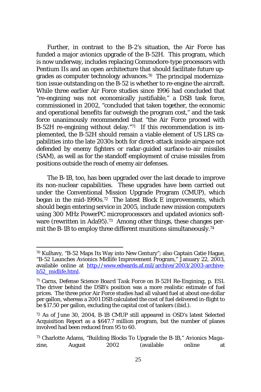Further, in contrast to the B-2's situation, the Air Force has funded a major avionics upgrade of the B-52H. This program, which is now underway, includes replacing Commodore-type processors with Pentium IIs and an open architecture that should facilitate future upgrades as computer technology advances.70 The principal modernization issue outstanding on the B-52 is whether to re-engine the aircraft. While three earlier Air Force studies since 1996 had concluded that "re-engining was not economically justifiable," a DSB task force, commissioned in 2002, "concluded that taken together, the economic and operational benefits far outweigh the program cost," and the task force unanimously recommended that "the Air Force proceed with B-52H re-engining without delay."71 If this recommendation is implemented, the B-52H should remain a viable element of US LRS capabilities into the late 2030s both for direct-attack inside airspace not defended by enemy fighters or radar-guided surface-to-air missiles (SAM), as well as for the standoff employment of cruise missiles from positions outside the reach of enemy air defenses.

The B-1B, too, has been upgraded over the last decade to improve its non-nuclear capabilities. These upgrades have been carried out under the Conventional Mission Upgrade Program (CMUP), which began in the mid-1990s.72 The latest Block E improvements, which should begin entering service in 2005, include new mission computers using 300 MHz PowerPC microprocessors and updated avionics software (rewritten in Ada95).<sup>73</sup> Among other things, these changes permit the B-1B to employ three different munitions simultaneously.<sup>74</sup>

<sup>70</sup> Kulhavy, "B-52 Maps Its Way into New Century"; also Captain Catie Hague, "B-52 Launches Avionics Midlife Improvement Program," January 22, 2003, available online at http://www.edwards.af.mil/archive/2003/2003-archiveb52\_midlife.html.

<sup>71</sup> Carns, *Defense Science Board Task Force on B-52H Re-Engining*, p. ES1. The driver behind the DSB's position was a more realistic estimate of fuel prices. The three prior Air Force studies had all valued fuel at about one dollar per gallon, whereas a 2001 DSB calculated the cost of fuel delivered in-flight to be \$17.50 per gallon, excluding the capital cost of tankers (ibid.).

<sup>72</sup> As of June 30, 2004, B-1B CMUP still appeared in OSD's latest Selected Acquisition Report as a \$647.7 million program, but the number of planes involved had been reduced from 95 to 60.

<sup>73</sup> Charlotte Adams, "Building Blocks To Upgrade the B-1B," *Avionics Magazine*, August 2002 (available online at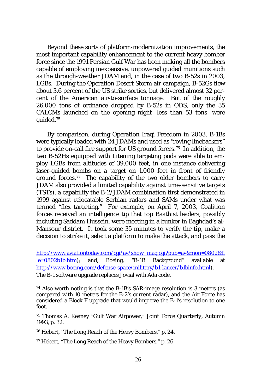Beyond these sorts of platform-modernization improvements, the most important capability enhancement to the current heavy bomber force since the 1991 Persian Gulf War has been making all the bombers capable of employing inexpensive, unpowered guided munitions such as the through-weather JDAM and, in the case of two B-52s in 2003, LGBs. During the Operation Desert Storm air campaign, B-52Gs flew about 3.6 percent of the US strike sorties, but delivered almost 32 percent of the American air-to-surface tonnage. But of the roughly  $26,000$  tons of ordnance dropped by B-52s in ODS, only the  $35$ CALCMs launched on the opening night—less than 53 tons—were guided.75

By comparison, during Operation Iraqi Freedom in 2003, B-1Bs were typically loaded with 24 JDAMs and used as "roving linebackers" to provide on-call fire support for US ground forces.76 In addition, the two B-52Hs equipped with Litening targeting pods were able to employ LGBs from altitudes of 39,000 feet, in one instance delivering laser-guided bombs on a target on 1,000 feet in front of friendly ground forces.<sup>77</sup> The capability of the two older bombers to carry JDAM also provided a limited capability against time-sensitive targets (TSTs), a capability the B-2/JDAM combination first demonstrated in 1999 against relocatable Serbian radars and SAMs under what was termed "flex targeting." For example, on April 7, 2003, Coalition forces received an intelligence tip that top Baathist leaders, possibly including Saddam Hussein, were meeting in a bunker in Baghdad's al-Mansour district. It took some 35 minutes to verify the tip, make a decision to strike it, select a platform to make the attack, and pass the

http://www.aviationtoday.com/cgi/av/show\_mag.cgi?pub=av&mon=0802&fi le=0802b1b.htm); and, Boeing, "B-1B Background" available at http://www.boeing.com/defense-space/military/b1-lancer/b1binfo.html). The B-1 software upgrade replaces Jovial with Ada code.

74 Also worth noting is that the B-1B's SAR-image resolution is 3 meters (as compared with 10 meters for the B-2's current radar), and the Air Force has considered a Block F upgrade that would improve the B-1's resolution to one foot.

75 Thomas A. Keaney "Gulf War Airpower," *Joint Force Quarterly*, Autumn 1993, p. 32.

76 Hebert, "The Long Reach of the Heavy Bombers," p. 24.

77 Hebert, "The Long Reach of the Heavy Bombers," p. 26.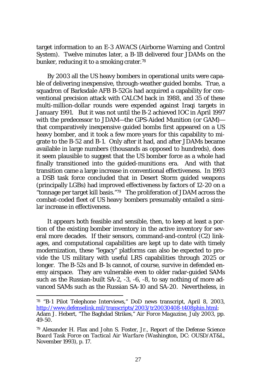target information to an E-3 AWACS (Airborne Warning and Control System). Twelve minutes later, a B-1B delivered four JDAMs on the bunker, reducing it to a smoking crater.78

By 2003 all the US heavy bombers in operational units were capable of delivering inexpensive, through-weather guided bombs. True, a squadron of Barksdale AFB B-52Gs had acquired a capability for conventional precision attack with CALCM back in 1988, and 35 of these multi-million-dollar rounds were expended against Iraqi targets in January 1991. But it was not until the B-2 achieved IOC in April 1997 with the predecessor to JDAM—the GPS-Aided Munition (or GAM) that comparatively inexpensive guided bombs first appeared on a US heavy bomber, and it took a few more years for this capability to migrate to the B-52 and B-1. Only after it had, and after JDAMs became available in large numbers (thousands as opposed to hundreds), does it seem plausible to suggest that the US bomber force as a whole had finally transitioned into the guided-munitions era. And with that transition came a large increase in conventional effectiveness. In 1993 a DSB task force concluded that in Desert Storm guided weapons (principally LGBs) had improved effectiveness by factors of 12-20 on a "tonnage per target kill basis."79 The proliferation of JDAM across the combat-coded fleet of US heavy bombers presumably entailed a similar increase in effectiveness.

It appears both feasible and sensible, then, to keep at least a portion of the existing bomber inventory in the active inventory for several more decades. If their sensors, command-and-control (C2) linkages, and computational capabilities are kept up to date with timely modernization, these "legacy" platforms can also be expected to provide the US military with useful LRS capabilities through 2025 or longer. The B-52s and B-1s cannot, of course, survive in defended enemy airspace. They are vulnerable even to older radar-guided SAMs such as the Russian-built SA-2, -3, -6, -8, to say nothing of more advanced SAMs such as the Russian SA-10 and SA-20. Nevertheless, in

<sup>78 &</sup>quot;B-1 Pilot Telephone Interviews," DoD news transcript, April 8, 2003, http://www.defenselink.mil/transcripts/2003/tr20030408-t408phin.html; Adam J. Hebert, "The Baghdad Strikes," *Air Force Magazine*, July 2003, pp. 49-50.

<sup>79</sup> Alexander H. Flax and John S. Foster, Jr., *Report of the Defense Science Board Task Force on Tactical Air Warfare* (Washington, DC: OUSD/AT&L, November 1993), p. 17.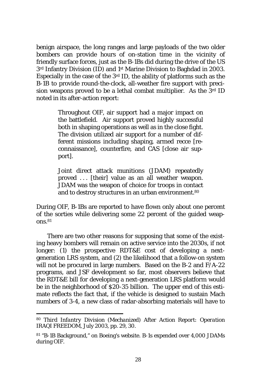benign airspace, the long ranges and large payloads of the two older bombers can provide hours of on-station time in the vicinity of friendly surface forces, just as the B-1Bs did during the drive of the US 3<sup>rd</sup> Infantry Division (ID) and 1<sup>st</sup> Marine Division to Baghdad in 2003. Especially in the case of the 3rd ID, the ability of platforms such as the B-1B to provide round-the-clock, all-weather fire support with precision weapons proved to be a lethal combat multiplier. As the 3rd ID noted in its after-action report:

> Throughout OIF, air support had a major impact on the battlefield. Air support proved highly successful both in shaping operations as well as in the close fight. The division utilized air support for a number of different missions including shaping, armed recce [reconnaissance], counterfire, and CAS [close air support].

> Joint direct attack munitions (JDAM) repeatedly proved . . . [their] value as an all weather weapon. JDAM was the weapon of choice for troops in contact and to destroy structures in an urban environment.<sup>80</sup>

During OIF, B-1Bs are reported to have flown only about one percent of the sorties while delivering some 22 percent of the guided weapons.81

There are two other reasons for supposing that some of the existing heavy bombers will remain on active service into the 2030s, if not longer: (1) the prospective RDT&E cost of developing a nextgeneration LRS system, and (2) the likelihood that a follow-on system will not be procured in large numbers. Based on the B-2 and F/A-22 programs, and JSF development so far, most observers believe that the RDT&E bill for developing a next-generation LRS platform would be in the neighborhood of \$20-35 billion. The upper end of this estimate reflects the fact that, if the vehicle is designed to sustain Mach numbers of 3-4, a new class of radar-absorbing materials will have to

<sup>80</sup> *Third Infantry Division (Mechanized) After Action Report: Operation IRAQI FREEDOM*, July 2003, pp. 29, 30.

<sup>81 &</sup>quot;B-1B Background," on Boeing's website. B-1s expended over 4,000 JDAMs during OIF.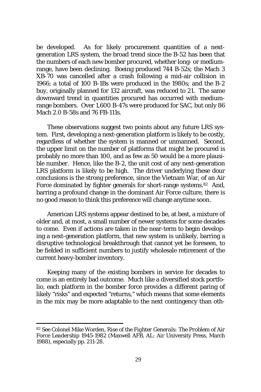be developed. As for likely procurement quantities of a nextgeneration LRS system, the broad trend since the B-52 has been that the numbers of each new bomber procured, whether long- or mediumrange, have been declining. Boeing produced 744 B-52s; the Mach 3 XB-70 was cancelled after a crash following a mid-air collision in 1966; a total of 100 B-1Bs were produced in the 1980s; and the B-2 buy, originally planned for 132 aircraft, was reduced to 21. The same downward trend in quantities procured has occurred with mediumrange bombers. Over 1,600 B-47s were produced for SAC, but only 86 Mach 2.0 B-58s and 76 FB-111s.

These observations suggest two points about any future LRS system. First, developing a next-generation platform is likely to be costly, regardless of whether the system is manned or unmanned. Second, the upper limit on the number of platforms that might be procured is probably no more than 100, and as few as 50 would be a more plausible number. Hence, like the B-2, the unit cost of any next-generation LRS platform is likely to be high. The driver underlying these dour conclusions is the strong preference, since the Vietnam War, of an Air Force dominated by fighter generals for short-range systems.<sup>82</sup> And, barring a profound change in the dominant Air Force culture, there is no good reason to think this preference will change anytime soon.

American LRS systems appear destined to be, at best, a mixture of older and, at most, a small number of newer systems for some decades to come. Even if actions are taken in the near-term to begin developing a next-generation platform, that new system is unlikely, barring a disruptive technological breakthrough that cannot yet be foreseen, to be fielded in sufficient numbers to justify wholesale retirement of the current heavy-bomber inventory.

Keeping many of the existing bombers in service for decades to come is an entirely bad outcome. Much like a diversified stock portfolio, each platform in the bomber force provides a different paring of likely "risks" and expected "returns," which means that some elements in the mix may be more adaptable to the next contingency than oth-

<sup>82</sup> See Colonel Mike Worden, *Rise of the Fighter Generals: The Problem of Air Force Leadership 1945-1982* (Maxwell AFB, AL: Air University Press, March 1988), especially pp. 211-28.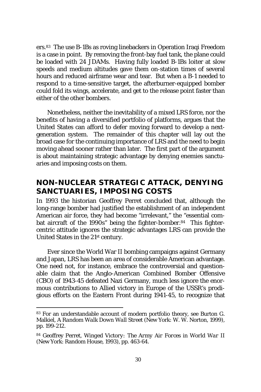ers.83 The use B-1Bs as roving linebackers in Operation Iraqi Freedom is a case in point. By removing the front-bay fuel tank, the plane could be loaded with 24 JDAMs. Having fully loaded B-1Bs loiter at slow speeds and medium altitudes gave them on-station times of several hours and reduced airframe wear and tear. But when a B-1 needed to respond to a time-sensitive target, the afterburner-equipped bomber could fold its wings, accelerate, and get to the release point faster than either of the other bombers.

Nonetheless, neither the inevitability of a mixed LRS force, nor the benefits of having a diversified portfolio of platforms, argues that the United States can afford to defer moving forward to develop a nextgeneration system. The remainder of this chapter will lay out the broad case for the continuing importance of LRS and the need to begin moving ahead sooner rather than later. The first part of the argument is about maintaining strategic advantage by denying enemies sanctuaries and imposing costs on them.

## **NON-NUCLEAR STRATEGIC ATTACK, DENYING SANCTUARIES, IMPOSING COSTS**

In 1993 the historian Geoffrey Perret concluded that, although the long-range bomber had justified the establishment of an independent American air force, they had become "irrelevant," the "essential combat aircraft of the 1990s" being the fighter-bomber.84 This fightercentric attitude ignores the strategic advantages LRS can provide the United States in the 21st century.

Ever since the World War II bombing campaigns against Germany and Japan, LRS has been an area of considerable American advantage. One need not, for instance, embrace the controversial and questionable claim that the Anglo-American Combined Bomber Offensive (CBO) of 1943-45 defeated Nazi Germany, much less ignore the enormous contributions to Allied victory in Europe of the USSR's prodigious efforts on the Eastern Front during 1941-45, to recognize that

<sup>83</sup> For an understandable account of modern portfolio theory, see Burton G. Malkiel, *A Random Walk Down Wall Street* (New York: W. W. Norton, 1999), pp. 199-212.

<sup>84</sup> Geoffrey Perret, *Winged Victory: The Army Air Forces in World War II* (New York: Random House, 1993), pp. 463-64.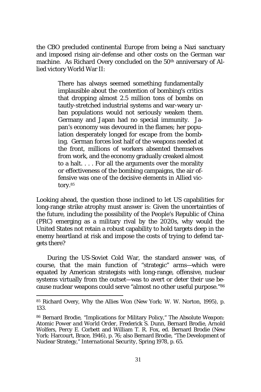the CBO precluded continental Europe from being a Nazi sanctuary and imposed rising air-defense and other costs on the German war machine. As Richard Overy concluded on the 50<sup>th</sup> anniversary of Allied victory World War II:

> There has always seemed something fundamentally implausible about the contention of bombing's critics that dropping almost 2.5 million tons of bombs on tautly-stretched industrial systems and war-weary urban populations would not seriously weaken them. Germany and Japan had no special immunity. Japan's economy was devoured in the flames; her population desperately longed for escape from the bombing. German forces lost half of the weapons needed at the front, millions of workers absented themselves from work, and the economy gradually creaked almost to a halt. . . . For all the arguments over the morality or effectiveness of the bombing campaigns, the air offensive was one of the decisive elements in Allied victory.85

Looking ahead, the question those inclined to let US capabilities for long-range strike atrophy must answer is: Given the uncertainties of the future, including the possibility of the People's Republic of China (PRC) emerging as a military rival by the 2020s, why would the United States *not* retain a robust capability to hold targets deep in the enemy heartland at risk and impose the costs of trying to defend targets there?

During the US-Soviet Cold War, the standard answer was, of course, that the main function of "strategic" arms—which were equated by American strategists with long-range, offensive, nuclear systems virtually from the outset—was to avert or deter their use because nuclear weapons could serve "almost no other useful purpose."86

<sup>85</sup> Richard Overy, *Why the Allies Won* (New York: W. W. Norton, 1995), p. 133.

<sup>86</sup> Bernard Brodie, "Implications for Military Policy," *The Absolute Weapon: Atomic Power and World Order*, Frederick S. Dunn, Bernard Brodie, Arnold Wolfers, Percy E. Corbett and William T. R. Fox, ed. Bernard Brodie (New York: Harcourt, Brace, 1946), p. 76; also Bernard Brodie, "The Development of Nuclear Strategy," *International Security*, Spring 1978, p. 65.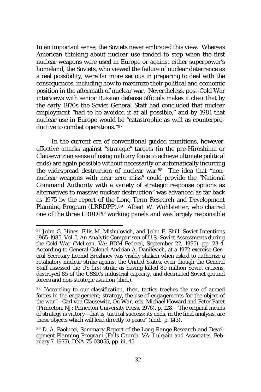In an important sense, the Soviets never embraced this view. Whereas American thinking about nuclear use tended to stop when the first nuclear weapons were used in Europe or against either superpower's homeland, the Soviets, who viewed the failure of nuclear deterrence as a real possibility, were far more serious in preparing to deal with the consequences, including how to maximize their political and economic position in the aftermath of nuclear war. Nevertheless, post-Cold War interviews with senior Russian defense officials makes it clear that by the early 1970s the Soviet General Staff had concluded that nuclear employment "had to be avoided if at all possible," and by 1981 that nuclear use in Europe would be "catastrophic as well as counterproductive to combat operations."87

In the current era of conventional guided munitions, however, effective attacks against "strategic" targets (in the pre-Hiroshima or Clausewitzian sense of using military force to achieve ultimate political ends) are again possible without necessarily or automatically incurring the widespread destruction of nuclear war.88 The idea that "nonnuclear weapons with near zero miss" could provide the "National Command Authority with a variety of strategic response options as alternatives to massive nuclear destruction" was advanced as far back as 1975 by the report of the Long Term Research and Development Planning Program (LRRDPP).89 Albert W. Wohlstetter, who chaired one of the three LRRDPP working panels and was largely responsible

<sup>87</sup> John G. Hines, Ellis M. Mishulovich, and John F. Shill, *Soviet Intentions 1965-1985*, Vol. I, *An Analytic Comparison of U.S.-Soviet Assessments during the Cold War* (McLean, VA: BDM Federal, September 22, 1995), pp. 23-4. According to General-Colonel Andrian A. Danilevich, at a 1972 exercise General Secretary Leonid Brezhnev was visibly shaken when asked to authorize a retaliatory nuclear strike against the United States, even though the General Staff assessed the US first strike as having killed 80 million Soviet citizens, destroyed 85 of the USSR's industrial capacity, and decimated Soviet ground forces and non-strategic aviation (ibid.).

<sup>88 &</sup>quot;According to our classification, then, tactics teaches *the use of armed forces in the engagement*; strategy, *the use of engagements for the object of the war*"—Carl von Clausewitz, *On War*, eds. Michael Howard and Peter Paret (Princeton, NJ: Princeton University Press, 1976), p. 128. "The original means of strategy is victory—that is, tactical success; its ends, in the final analysis, are those objects which will lead directly to peace" (ibid., p. 143).

<sup>89</sup> D. A. Paolucci, *Summary Report of the Long Range Research and Development Planning Program* (Falls Church, VA: Lulejain and Associates, February 7, 1975), DNA-75-03055, pp. iii, 45.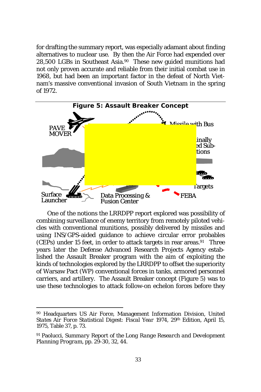for drafting the summary report, was especially adamant about finding alternatives to nuclear use. By then the Air Force had expended over 28,500 LGBs in Southeast Asia.90 These new guided munitions had not only proven accurate and reliable from their initial combat use in 1968, but had been an important factor in the defeat of North Vietnam's massive conventional invasion of South Vietnam in the spring of 1972.



One of the notions the LRRDPP report explored was possibility of combining surveillance of enemy territory from remotely piloted vehicles with conventional munitions, possibly delivered by missiles and using INS/GPS-aided guidance to achieve circular error probables (CEPs) under 15 feet, in order to attack targets in rear areas. $91$  Three years later the Defense Advanced Research Projects Agency established the Assault Breaker program with the aim of exploiting the kinds of technologies explored by the LRRDPP to offset the superiority of Warsaw Pact (WP) conventional forces in tanks, armored personnel carriers, and artillery. The Assault Breaker concept (Figure 5) was to use these technologies to attack follow-on echelon forces before they

<sup>90</sup> Headquarters US Air Force, Management Information Division, *United States Air Force Statistical Digest: Fiscal Year 1974*, 29th Edition, April 15, 1975, Table 37, p. 73.

<sup>91</sup> Paolucci, *Summary Report of the Long Range Research and Development Planning Program*, pp. 29-30, 32, 44.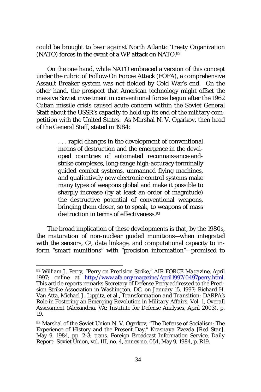could be brought to bear against North Atlantic Treaty Organization (NATO) forces in the event of a WP attack on NATO.92

On the one hand, while NATO embraced a version of this concept under the rubric of Follow-On Forces Attack (FOFA), a comprehensive Assault Breaker system was not fielded by Cold War's end. On the other hand, the prospect that American technology might offset the massive Soviet investment in conventional forces begun after the 1962 Cuban missile crisis caused acute concern within the Soviet General Staff about the USSR's capacity to hold up its end of the military competition with the United States. As Marshal N. V. Ogarkov, then head of the General Staff, stated in 1984:

> . . . rapid changes in the development of conventional means of destruction and the emergence in the developed countries of automated reconnaissance-andstrike complexes, long-range high-accuracy terminally guided combat systems, unmanned flying machines, and qualitatively new electronic control systems make many types of weapons global and make it possible to sharply increase (by at least an order of magnitude) the destructive potential of conventional weapons, bringing them closer, so to speak, to weapons of mass destruction in terms of effectiveness.<sup>93</sup>

The broad implication of these developments is that, by the 1980s, the maturation of non-nuclear guided munitions—when integrated with the sensors,  $C^2$ , data linkage, and computational capacity to inform "smart munitions" with "precision information"—promised to

<sup>92</sup> William J. Perry, "Perry on Precision Strike," *AIR FORCE Magazine*, April 1997; online at http://www.afa.org/magazine/April1997/0497perry.html This article reports remarks Secretary of Defense Perry addressed to the Precision Strike Association in Washington, DC, on January 15, 1997; Richard H. Van Atta, Michael J. Lippitz, et al., *Transformation and Transition: DARPA's Role in Fostering an Emerging Revolution in Military Affairs*, Vol. 1, *Overall Assessment* (Alexandria, VA: Institute for Defense Analyses, April 2003), p. 19.

<sup>93</sup> Marshal of the Soviet Union N. V. Ogarkov, "The Defense of Socialism: The Experience of History and the Present Day," *Krasnaya Zvezda [Red Star]*, May 9, 1984, pp. 2-3; trans. Foreign Broadcast Information Service, *Daily Report: Soviet Union*, vol. III, no. 4, annex no. 054, May 9, 1984, p. R19.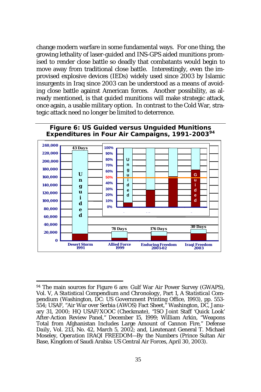change modern warfare in some fundamental ways. For one thing, the growing lethality of laser-guided and INS-GPS aided munitions promised to render close battle so deadly that combatants would begin to move away from traditional close battle. Interestingly, even the improvised explosive devices (IEDs) widely used since 2003 by Islamic insurgents in Iraq since 2003 can be understood as a means of avoiding close battle against American forces. Another possibility, as already mentioned, is that guided munitions will make strategic attack, once again, a usable military option. In contrast to the Cold War, strategic attack need no longer be limited to deterrence.





<sup>&</sup>lt;sup>94</sup> The main sources for Figure 6 are: Gulf War Air Power Survey (GWAPS), Vol. V, *A Statistical Compendium and Chronology*, Part 1, *A Statistical Compendium* (Washington, DC: US Government Printing Office, 1993), pp. 553- 554; USAF, "Air War over Serbia (AWOS) Fact Sheet," Washington, DC, January 31, 2000; HQ USAF/XOOC (Checkmate), "ISO Joint Staff 'Quick Look' After-Action Review Panel," December 15, 1999; William Arkin, "Weapons Total from Afghanistan Includes Large Amount of Cannon Fire," *Defense Daily*, Vol. 213, No. 42, March 5, 2002; and, Lieutenant General T. Michael Moseley, *Operation IRAQI FREEDOM—By the Numbers* (Prince Sultan Air Base, Kingdom of Saudi Arabia: US Central Air Forces, April 30, 2003).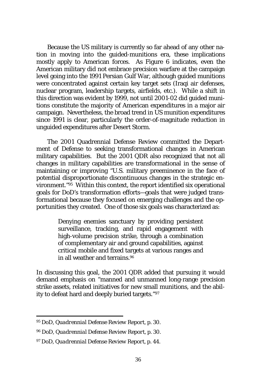Because the US military is currently so far ahead of any other nation in moving into the guided-munitions era, these implications mostly apply to American forces. As Figure 6 indicates, even the American military did not embrace precision warfare at the campaign level going into the 1991 Persian Gulf War, although guided munitions were concentrated against certain key target sets (Iraqi air defenses, nuclear program, leadership targets, airfields, etc.). While a shift in this direction was evident by 1999, not until 2001-02 did guided munitions constitute the majority of American expenditures in a major air campaign. Nevertheless, the broad trend in US munition expenditures since 1991 is clear, particularly the order-of-magnitude reduction in unguided expenditures after Desert Storm.

The 2001 Quadrennial Defense Review committed the Department of Defense to seeking transformational changes in American military capabilities. But the 2001 QDR also recognized that not all changes in military capabilities are transformational in the sense of maintaining or improving "U.S. military preeminence in the face of potential disproportionate discontinuous changes in the strategic environment."95 Within this context, the report identified six operational goals for DoD's transformation efforts—goals that were judged transformational because they focused on emerging challenges and the opportunities they created. One of those six goals was characterized as:

> Denying enemies sanctuary by providing persistent surveillance, tracking, and rapid engagement with high-volume precision strike, through a combination of complementary air and ground capabilities, against critical mobile and fixed targets at various ranges and in all weather and terrains.96

In discussing this goal, the 2001 QDR added that pursuing it would demand emphasis on "manned and unmanned long-range precision strike assets, related initiatives for new small munitions, and the ability to defeat hard and deeply buried targets."97

<sup>95</sup> DoD, *Quadrennial Defense Review Report*, p. 30.

<sup>96</sup> DoD, *Quadrennial Defense Review Report*, p. 30.

<sup>97</sup> DoD, *Quadrennial Defense Review Report*, p. 44.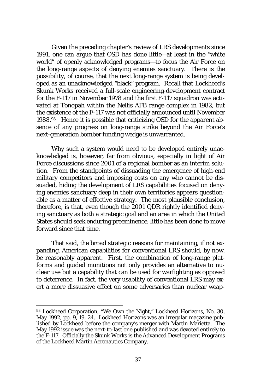Given the preceding chapter's review of LRS developments since 1991, one can argue that OSD has done little—at least in the "white world" of openly acknowledged programs—to focus the Air Force on the long-range aspects of denying enemies sanctuary. There is the possibility, of course, that the next long-range system is being developed as an unacknowledged "black" program. Recall that Lockheed's Skunk Works received a full-scale engineering-development contract for the F-117 in November 1978 and the first F-117 squadron was activated at Tonopah within the Nellis AFB range complex in 1982, but the existence of the F-117 was not officially announced until November 1988.98 Hence it is possible that criticizing OSD for the apparent absence of any progress on long-range strike beyond the Air Force's next-generation bomber funding wedge is unwarranted.

Why such a system would need to be developed entirely unacknowledged is, however, far from obvious, especially in light of Air Force discussions since 2001 of a regional bomber as an interim solution. From the standpoints of dissuading the emergence of high-end military competitors and imposing costs on any who cannot be dissuaded, hiding the development of LRS capabilities focused on denying enemies sanctuary deep in their own territories appears questionable as a matter of effective strategy. The most plausible conclusion, therefore, is that, even though the 2001 QDR rightly identified denying sanctuary as both a strategic goal and an area in which the United States should seek enduring preeminence, little has been done to move forward since that time.

That said, the broad strategic reasons for maintaining, if not expanding, American capabilities for conventional LRS should, by now, be reasonably apparent. First, the combination of long-range platforms and guided munitions not only provides an alternative to nuclear use but a capability that can be used for warfighting as opposed to deterrence. In fact, the very usability of conventional LRS may exert a more dissuasive effect on some adversaries than nuclear weap-

<sup>98</sup> Lockheed Corporation, "We Own the Night," *Lockheed Horizons*, No. 30, May 1992, pp. 9, 19, 24. *Lockheed Horizons* was an irregular magazine published by Lockheed before the company's merger with Martin Marietta. The May 1992 issue was the next-to-last one published and was devoted entirely to the F-117. Officially the Skunk Works is the Advanced Development Programs of the Lockheed Martin Aeronautics Company.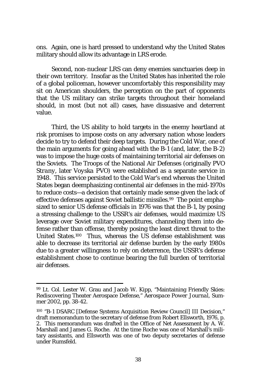ons. Again, one is hard pressed to understand why the United States military should allow its advantage in LRS erode.

Second, non-nuclear LRS can deny enemies sanctuaries deep in their own territory. Insofar as the United States has inherited the role of a global policeman, however uncomfortably this responsibility may sit on American shoulders, the perception on the part of opponents that the US military can strike targets throughout their homeland should, in most (but not all) cases, have dissuasive and deterrent value.

Third, the US ability to hold targets in the enemy heartland at risk promises to impose costs on any adversary nation whose leaders decide to try to defend their deep targets. During the Cold War, one of the main arguments for going ahead with the B-1 (and, later, the B-2) was to impose the huge costs of maintaining territorial air defenses on the Soviets. The Troops of the National Air Defenses (originally *PVO Strany*, later *Voyska PVO*) were established as a separate service in 1948. This service persisted to the Cold War's end whereas the United States began deemphasizing continental air defenses in the mid-1970s to reduce costs—a decision that certainly made sense given the lack of effective defenses against Soviet ballistic missiles.99 The point emphasized to senior US defense officials in 1976 was that the B-1, by posing a stressing challenge to the USSR's air defenses, would maximize US leverage over Soviet military expenditures, channeling them into defense rather than offense, thereby posing the least direct threat to the United States.100 Thus, whereas the US defense establishment was able to decrease its territorial air defense burden by the early 1980s due to a greater willingness to rely on deterrence, the USSR's defense establishment chose to continue bearing the full burden of territorial air defenses.

<sup>99</sup> Lt. Col. Lester W. Grau and Jacob W. Kipp, "Maintaining Friendly Skies: Rediscovering Theater Aerospace Defense," *Aerospace Power Journal*, Summer 2002, pp. 38-42.

<sup>100 &</sup>quot;B-1 DSARC [Defense Systems Acquisition Review Council] III Decision," draft memorandum to the secretary of defense from Robert Ellsworth, 1976, p. 2. This memorandum was drafted in the Office of Net Assessment by A.  $\hat{W}$ . Marshall and James G. Roche. At the time Roche was one of Marshall's military assistants, and Ellsworth was one of two deputy secretaries of defense under Rumsfeld.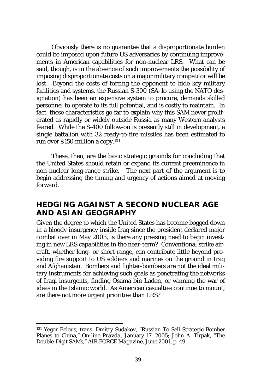Obviously there is no guarantee that a disproportionate burden could be imposed upon future US adversaries by continuing improvements in American capabilities for non-nuclear LRS. What can be said, though, is in the absence of such improvements the possibility of imposing disproportionate costs on a major military competitor will be lost. Beyond the costs of forcing the opponent to hide key military facilities and systems, the Russian S-300 (SA-1o using the NATO designation) has been an expensive system to procure, demands skilled personnel to operate to its full potential, and is costly to maintain. In fact, these characteristics go far to explain why this SAM never proliferated as rapidly or widely outside Russia as many Western analysts feared. While the S-400 follow-on is presently still in development, a single battalion with 32 ready-to-fire missiles has been estimated to run over \$150 million a copy.101

These, then, are the basic strategic grounds for concluding that the United States should retain or expand its current preeminence in non-nuclear long-range strike. The next part of the argument is to begin addressing the timing and urgency of actions aimed at moving forward.

#### **HEDGING AGAINST A SECOND NUCLEAR AGE AND ASIAN GEOGRAPHY**

Given the degree to which the United States has become bogged down in a bloody insurgency inside Iraq since the president declared major combat over in May 2003, is there any pressing need to begin investing in new LRS capabilities in the near-term? Conventional strike aircraft, whether long- or short-range, can contribute little beyond providing fire support to US soldiers and marines on the ground in Iraq and Afghanistan. Bombers and fighter-bombers are not the ideal military instruments for achieving such goals as penetrating the networks of Iraqi insurgents, finding Osama bin Laden, or winning the war of ideas in the Islamic world. As American casualties continue to mount, are there not more urgent priorities than LRS?

<sup>101</sup> Yegor Belous, trans. Dmitry Sudakov, "Russian To Sell Strategic Bomber Planes to China," *On-line Pravda*, January 17, 2005; John A. Tirpak, "The Double-Digit SAMs," *AIR FORCE Magazine*, June 2001, p. 49.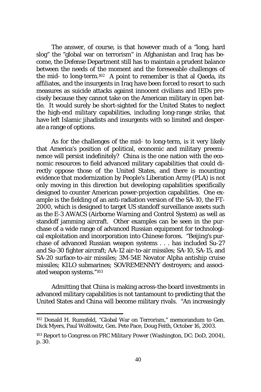The answer, of course, is that however much of a "long, hard slog" the "global war on terrorism" in Afghanistan and Iraq has become, the Defense Department still has to maintain a prudent balance between the needs of the moment and the foreseeable challenges of the mid- to long-term.102 A point to remember is that al Qaeda, its affiliates, and the insurgents in Iraq have been forced to resort to such measures as suicide attacks against innocent civilians and IEDs precisely because they cannot take on the American military in open battle. It would surely be short-sighted for the United States to neglect the high-end military capabilities, including long-range strike, that have left Islamic jihadists and insurgents with so limited and desperate a range of options.

As for the challenges of the mid- to long-term, is it very likely that America's position of political, economic and military preeminence will persist indefinitely? China is the one nation with the economic resources to field advanced military capabilities that could directly oppose those of the United States, and there is mounting evidence that modernization by People's Liberation Army (PLA) is not only moving in this direction but developing capabilities specifically designed to counter American power-projection capabilities. One example is the fielding of an anti-radiation version of the SA-10, the FT-2000, which is designed to target US standoff surveillance assets such as the E-3 AWACS (Airborne Warning and Control System) as well as standoff jamming aircraft. Other examples can be seen in the purchase of a wide range of advanced Russian equipment for technological exploitation and incorporation into Chinese forces. "Beijing's purchase of advanced Russian weapon systems . . . has included Su-27 and Su-30 fighter aircraft; AA-12 air-to-air missiles; SA-10, SA-15, and SA-20 surface-to-air missiles; 3M-54E Novator Alpha antiship cruise missiles; KILO submarines; SOVREMENNYY destroyers; and associated weapon systems."103

Admitting that China is making across-the-board investments in advanced military capabilities is not tantamount to predicting that the United States and China will become military rivals. "An increasingly

<sup>102</sup> Donald H. Rumsfeld, "Global War on Terrorism," memorandum to Gen. Dick Myers, Paul Wolfowitz, Gen. Pete Pace, Doug Feith, October 16, 2003.

<sup>103</sup> *Report to Congress on PRC Military Power* (Washington, DC: DoD, 2004), p. 30.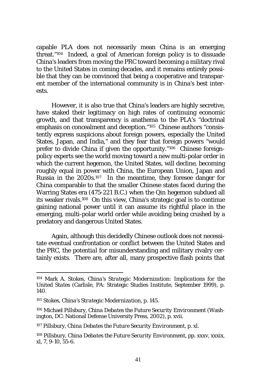capable PLA does not necessarily mean China is an emerging threat."104 Indeed, a goal of American foreign policy is to dissuade China's leaders from moving the PRC toward becoming a military rival to the United States in coming decades, and it remains entirely possible that they can be convinced that being a cooperative and transparent member of the international community is in China's best interests.

However, it is also true that China's leaders are highly secretive, have staked their legitimacy on high rates of continuing economic growth, and that transparency is anathema to the PLA's "doctrinal emphasis on concealment and deception."<sup>105</sup> Chinese authors "consistently express suspicions about foreign powers, especially the United States, Japan, and India," and they fear that foreign powers "would prefer to divide China if given the opportunity."106 Chinese foreignpolicy experts see the world moving toward a new multi-polar order in which the current hegemon, the United States, will decline, becoming roughly equal in power with China, the European Union, Japan and Russia in the 2020s.107 In the meantime, they foresee danger for China comparable to that the smaller Chinese states faced during the Warring States era (475-221 B.C.) when the Qin hegemon subdued all its weaker rivals.108 On this view, China's strategic goal is to continue gaining national power until it can assume its rightful place in the emerging, multi-polar world order while avoiding being crushed by a predatory and dangerous United States.

Again, although this decidedly Chinese outlook does not necessitate eventual confrontation or conflict between the United States and the PRC, the *potential* for misunderstanding and military rivalry certainly exists. There are, after all, many prospective flash points that

<sup>104</sup> Mark A. Stokes, *China's Strategic Modernization: Implications for the United States* (Carlisle, PA: Strategic Studies Institute, September 1999), p. 140.

<sup>105</sup> Stokes, *China's Strategic Modernization*, p. 145.

<sup>106</sup> Michael Pillsbury, *China Debates the Future Security Environment* (Washington, DC: National Defense University Press, 2002), p. xvii.

<sup>107</sup> Pillsbury, *China Debates the Future Security Environment*, p. xl.

<sup>108</sup> Pillsbury, *China Debates the Future Security Environment*, pp. xxxv, xxxix, xl, 7, 9-10, 55-6.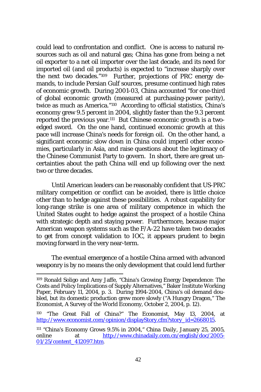could lead to confrontation and conflict. One is access to natural resources such as oil and natural gas; China has gone from being a net oil exporter to a net oil importer over the last decade, and its need for imported oil (and oil products) is expected to "increase sharply over the next two decades."109 Further, projections of PRC energy demands, to include Persian Gulf sources, presume continued high rates of economic growth. During 2001-03, China accounted "for one-third of global economic growth (measured at purchasing-power parity), twice as much as America."110 According to official statistics, China's economy grew 9.5 percent in 2004, slightly faster than the 9.3 percent reported the previous year.111 But Chinese economic growth is a twoedged sword. On the one hand, continued economic growth at this pace will increase China's needs for foreign oil. On the other hand, a significant economic slow down in China could imperil other economies, particularly in Asia, and raise questions about the legitimacy of the Chinese Communist Party to govern. In short, there are great uncertainties about the path China will end up following over the next two or three decades.

Until American leaders can be reasonably confident that US-PRC military competition or conflict can be avoided, there is little choice other than to hedge against these possibilities. A robust capability for long-range strike is one area of military competence in which the United States ought to hedge against the prospect of a hostile China with strategic depth and staying power. Furthermore, because major American weapon systems such as the F/A-22 have taken two decades to get from concept validation to IOC, it appears prudent to begin moving forward in the very near-term.

The eventual emergence of a hostile China armed with advanced weaponry is by no means the only development that could lend further

<sup>109</sup> Ronald Soligo and Amy Jaffe, "China's Growing Energy Dependence: The Costs and Policy Implications of Supply Alternatives," Baker Institute Working Paper, February 11, 2004, p. 3. During 1994-2004, China's oil demand doubled, but its domestic production grew more slowly ("A Hungry Dragon," *The Economist*, A Survey of the World Economy, October 2, 2004, p. 12).

<sup>110 &</sup>quot;The Great Fall of China?" *The Economist*, May 13, 2004, at http://www.economist.com/opinion/displayStory.cfm?story\_id=2668015.

<sup>111 &</sup>quot;China's Economy Grows 9.5% in 2004," *China Daily*, January 25, 2005, online at http://www.chinadaily.com.cn/english/doc/2005- 01/25/content\_412097.htm.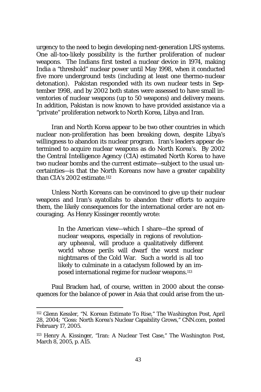urgency to the need to begin developing next-generation LRS systems. One all-too-likely possibility is the further proliferation of nuclear weapons. The Indians first tested a nuclear device in 1974, making India a "threshold" nuclear power until May 1998, when it conducted five more underground tests (including at least one thermo-nuclear detonation). Pakistan responded with its own nuclear tests in September 1998, and by 2002 both states were assessed to have small inventories of nuclear weapons (up to 50 weapons) and delivery means. In addition, Pakistan is now known to have provided assistance via a "private" proliferation network to North Korea, Libya and Iran.

Iran and North Korea appear to be two other countries in which nuclear non-proliferation has been breaking down, despite Libya's willingness to abandon its nuclear program. Iran's leaders appear determined to acquire nuclear weapons as do North Korea's. By 2002 the Central Intelligence Agency (CIA) estimated North Korea to have two nuclear bombs and the current estimate—subject to the usual uncertainties—is that the North Koreans now have a greater capability than CIA's 2002 estimate.112

Unless North Koreans can be convinced to give up their nuclear weapons and Iran's ayatollahs to abandon their efforts to acquire them, the likely consequences for the international order are not encouraging. As Henry Kissinger recently wrote:

> In the American view—which I share—the spread of nuclear weapons, especially in regions of revolutionary upheaval, will produce a qualitatively different world whose perils will dwarf the worst nuclear nightmares of the Cold War. Such a world is all too likely to culminate in a cataclysm followed by an imposed international regime for nuclear weapons.113

Paul Bracken had, of course, written in 2000 about the consequences for the balance of power in Asia that could arise from the un-

<sup>112</sup> Glenn Kessler, "N. Korean Estimate To Rise," *The Washington Post*, April 28, 2004; "Goss: North Korea's Nuclear Capability Grows," CNN.com, posted February 17, 2005.

<sup>113</sup> Henry A. Kissinger, "Iran: A Nuclear Test Case," *The Washington Post*, March 8, 2005, p. A15.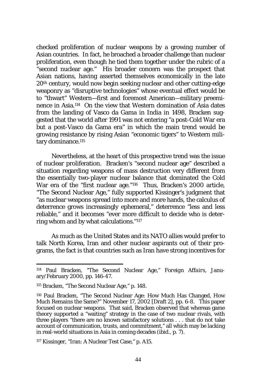checked proliferation of nuclear weapons by a growing number of Asian countries. In fact, he broached a broader challenge than nuclear proliferation, even though he tied them together under the rubric of a "second nuclear age." His broader concern was the prospect that Asian nations, having asserted themselves economically in the late 20th century, would now begin seeking nuclear and other cutting-edge weaponry as "disruptive technologies" whose eventual effect would be to "thwart" Western—first and foremost American—military preeminence in Asia.114 On the view that Western domination of Asia dates from the landing of Vasco da Gama in India in 1498, Bracken suggested that the world after 1991 was not entering "a post-Cold War era but a post-Vasco da Gama era" in which the main trend would be growing resistance by rising Asian "economic tigers" to Western military dominance.<sup>115</sup>

Nevertheless, at the heart of this prospective trend was the issue of nuclear proliferation. Bracken's "second nuclear age" described a situation regarding weapons of mass destruction very different from the essentially two-player nuclear balance that dominated the Cold War era of the "first nuclear age."116 Thus, Bracken's 2000 article, "The Second Nuclear Age," fully supported Kissinger's judgment that "as nuclear weapons spread into more and more hands, the calculus of deterrence grows increasingly ephemeral," deterrence "less and less reliable," and it becomes "ever more difficult to decide who is deterring whom and by what calculations."117

As much as the United States and its NATO allies would prefer to talk North Korea, Iran and other nuclear aspirants out of their programs, the fact is that countries such as Iran have strong incentives for

117 Kissinger, "Iran: A Nuclear Test Case," p. A15.

<sup>114</sup> Paul Bracken, "The Second Nuclear Age," *Foreign Affairs*, January/February 2000, pp. 146-47.

<sup>115</sup> Bracken, "The Second Nuclear Age," p. 148.

<sup>116</sup> Paul Bracken, "The Second Nuclear Age: How Much Has Changed, How Much Remains the Same?" November 17, 2002 [Draft 2], pp. 6-8. This paper focused on nuclear weapons. That said, Bracken observed that whereas game theory supported a "waiting" strategy in the case of two nuclear rivals, with three players "there are no known satisfactory solutions . . . that do not take account of communication, trusts, and commitment," all which may be lacking in real-world situations in Asia in coming decades (ibid., p. 7).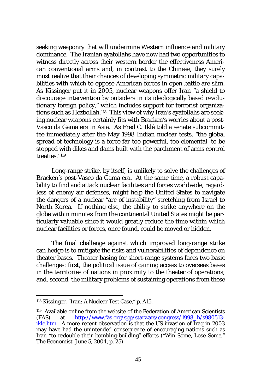seeking weaponry that will undermine Western influence and military dominance. The Iranian ayatollahs have now had two opportunities to witness directly across their western border the effectiveness American conventional arms and, in contrast to the Chinese, they surely must realize that their chances of developing symmetric military capabilities with which to oppose American forces in open battle are slim. As Kissinger put it in 2005, nuclear weapons offer Iran "a shield to discourage intervention by outsiders in its ideologically based revolutionary foreign policy," which includes support for terrorist organizations such as Hezbollah.118 This view of why Iran's ayatollahs are seeking nuclear weapons certainly fits with Bracken's worries about a post-Vasco da Gama era in Asia. As Fred C. Iklé told a senate subcommittee immediately after the May 1998 Indian nuclear tests, "the global spread of technology is a force far too powerful, too elemental, to be stopped with dikes and dams built with the parchment of arms control treaties."119

Long-range strike, by itself, is unlikely to solve the challenges of Bracken's post-Vasco da Gama era. At the same time, a robust capability to find and attack nuclear facilities and forces worldwide, regardless of enemy air defenses, might help the United States to navigate the dangers of a nuclear "arc of instability" stretching from Israel to North Korea. If nothing else, the ability to strike anywhere on the globe within minutes from the continental United States might be particularly valuable since it would greatly reduce the time within which nuclear facilities or forces, once found, could be moved or hidden.

The final challenge against which improved long-range strike can hedge is to mitigate the risks and vulnerabilities of dependence on theater bases. Theater basing for short-range systems faces two basic challenges: first, the political issue of gaining access to overseas bases in the territories of nations in proximity to the theater of operations; and, second, the military problems of sustaining operations from these

<sup>118</sup> Kissinger, "Iran: A Nuclear Test Case," p. A15.

<sup>119</sup> Available online from the website of the Federation of American Scientists (FAS) at http://www.fas.org/spp/starwars/congress/1998\_h/s980513 ikle.htm. A more recent observation is that the US invasion of Iraq in 2003 may have had the unintended consequence of encouraging nations such as Iran "to redouble their bombing-building" efforts ("Win Some, Lose Some," *The Economist*, June 5, 2004, p. 25).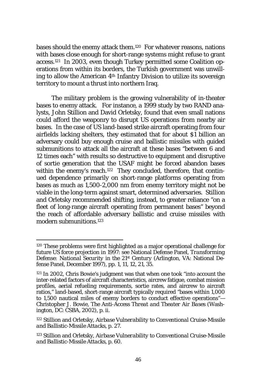bases should the enemy attack them.120 For whatever reasons, nations with bases close enough for short-range systems might refuse to grant access.121 In 2003, even though Turkey permitted some Coalition operations from within its borders, the Turkish government was unwilling to allow the American 4th Infantry Division to utilize its sovereign territory to mount a thrust into northern Iraq.

The military problem is the growing vulnerability of in-theater bases to enemy attack. For instance, a 1999 study by two RAND analysts, John Stillion and David Orletsky, found that even small nations could afford the weaponry to disrupt US operations from nearby air bases. In the case of US land-based strike aircraft operating from four airfields lacking shelters, they estimated that for about \$1 billion an adversary could buy enough cruise and ballistic missiles with guided submunitions to attack all the aircraft at these bases "between 6 and 12 times each" with results so destructive to equipment and disruptive of sortie generation that the USAF might be forced abandon bases within the enemy's reach.<sup>122</sup> They concluded, therefore, that continued dependence primarily on short-range platforms operating from bases as much as 1,500-2,000 nm from enemy territory might not be viable in the long-term against smart, determined adversaries. Stillion and Orletsky recommended shifting, instead, to greater reliance "on a fleet of long-range aircraft operating from permanent bases" beyond the reach of affordable adversary ballistic and cruise missiles with modern submunitions.123

<sup>120</sup> These problems were first highlighted as a major operational challenge for future US force projection in 1997: see National Defense Panel, *Transforming Defense: National Security in the 21st Century* (Arlington, VA: National Defense Panel, December 1997), pp. 1, 11, 12, 21, 35.

<sup>121</sup> In 2002, Chris Bowie's judgment was that when one took "into account the inter-related factors of aircraft characteristics, aircrew fatigue, combat mission profiles, aerial refueling requirements, sortie rates, and aircrew to aircraft ratios," land-based, short-range aircraft typically required "bases within 1,000 to 1,500 nautical miles of enemy borders to conduct effective operations"— Christopher J. Bowie, *The Anti-Access Threat and Theater Air Bases* (Washington, DC: CSBA, 2002), p. ii.

<sup>122</sup> Stillion and Orletsky, *Airbase Vulnerability to Conventional Cruise-Missile and Ballistic-Missile Attacks*, p. 27.

<sup>123</sup> Stillion and Orletsky, *Airbase Vulnerability to Conventional Cruise-Missile and Ballistic-Missile Attacks*, p. 60.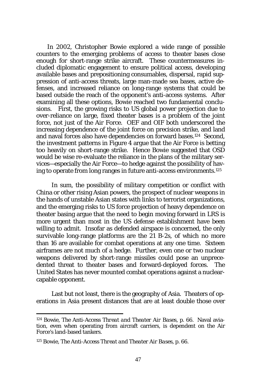In 2002, Christopher Bowie explored a wide range of possible counters to the emerging problems of access to theater bases close enough for short-range strike aircraft. These countermeasures included diplomatic engagement to ensure political access, developing available bases and prepositioning consumables, dispersal, rapid suppression of anti-access threats, large man-made sea bases, active defenses, and increased reliance on long-range systems that could be based outside the reach of the opponent's anti-access systems. After examining all these options, Bowie reached two fundamental conclusions. First, the growing risks to US global power projection due to over-reliance on large, fixed theater bases is a problem of the joint force, not just of the Air Force. OEF and OIF both underscored the increasing dependence of the joint force on precision strike, and land and naval forces also have dependencies on forward bases.124 Second, the investment patterns in Figure 4 argue that the Air Force is betting too heavily on short-range strike. Hence Bowie suggested that OSD would be wise re-evaluate the reliance in the plans of the military services—especially the Air Force—to hedge against the possibility of having to operate from long ranges in future anti-access environments.125

In sum, the possibility of military competition or conflict with China or other rising Asian powers, the prospect of nuclear weapons in the hands of unstable Asian states with links to terrorist organizations, and the emerging risks to US force projection of heavy dependence on theater basing argue that the need to begin moving forward in LRS is more urgent than most in the US defense establishment have been willing to admit. Insofar as defended airspace is concerned, the only survivable long-range platforms are the 21 B-2s, of which no more than 16 are available for combat operations at any one time. Sixteen airframes are not much of a hedge. Further, even one or two nuclear weapons delivered by short-range missiles could pose an unprecedented threat to theater bases and forward-deployed forces. The United States has never mounted combat operations against a nuclearcapable opponent.

Last but not least, there is the geography of Asia. Theaters of operations in Asia present distances that are at least double those over

<sup>124</sup> Bowie, *The Anti-Access Threat and Theater Air Bases*, p. 66. Naval aviation, even when operating from aircraft carriers, is dependent on the Air Force's land-based tankers.

<sup>125</sup> Bowie, *The Anti-Access Threat and Theater Air Bases*, p. 66.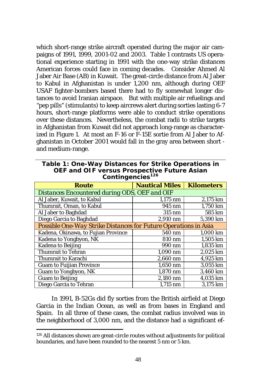which short-range strike aircraft operated during the major air campaigns of 1991, 1999, 2001-02 and 2003. Table 1 contrasts US operational experience starting in 1991 with the one-way strike distances American forces could face in coming decades. Consider Ahmed Al Jaber Air Base (AB) in Kuwait. The great-circle distance from Al Jaber to Kabul in Afghanistan is under 1,200 nm, although during OEF USAF fighter-bombers based there had to fly somewhat longer distances to avoid Iranian airspace. But with multiple air refuelings and "pep pills" (stimulants) to keep aircrews alert during sorties lasting 6-7 hours, short-range platforms were able to conduct strike operations over these distances. Nevertheless, the combat radii to strike targets in Afghanistan from Kuwait did not approach long-range as characterized in Figure 1. At most an F-16 or F-15E sortie from Al Jaber to Afghanistan in October 2001 would fall in the gray area between short and medium-range.

**Table 1: One-Way Distances for Strike Operations in OEF and OIF versus Prospective Future Asian Contingencies126**

| Route                                                           | <b>Nautical Miles</b> | <b>Kilometers</b> |
|-----------------------------------------------------------------|-----------------------|-------------------|
| Distances Encountered during ODS, OEF and OIF                   |                       |                   |
| Al Jaber, Kuwait, to Kabul                                      | $1,175$ nm            | 2,175 km          |
| Thumrait, Oman, to Kabul                                        | 945 nm                | 1,750 km          |
| Al Jaber to Baghdad                                             | 315 nm                | 585 km            |
| Diego Garcia to Baghdad                                         | 2,910 nm              | 5,390 km          |
| Possible One-Way Strike Distances for Future Operations in Asia |                       |                   |
| Kadena, Okinawa, to Fujian Province                             | 540 nm                | 1.000 km          |
| Kadena to Yongbyon, NK                                          | 810 nm                | 1,505 km          |
| <b>Kadena to Beijing</b>                                        | 990 nm                | 1.835 km          |
| Thumrait to Tehran                                              | 1,090 nm              | 2,025 km          |
| Thumrait to Karachi                                             | $2.660$ nm            | 4,925 km          |
| <b>Guam to Fuijian Province</b>                                 | $1.650$ nm            | 3.055 km          |
| Guam to Yongbyon, NK                                            | 1,870 nm              | 3,460 km          |
| <b>Guam to Beijing</b>                                          | 2,180 nm              | 4,035 km          |
| Diego Garcia to Tehran                                          | 1,715 nm              | 3.175 km          |

In 1991, B-52Gs did fly sorties from the British airfield at Diego Garcia in the Indian Ocean, as well as from bases in England and Spain. In all three of these cases, the combat radius involved was in the neighborhood of 3,000 nm, and the distance had a significant ef-

<sup>126</sup> All distances shown are great-circle routes without adjustments for political boundaries, and have been rounded to the nearest 5 nm or 5 km.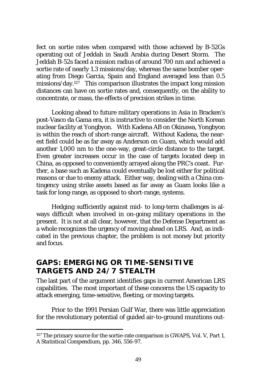fect on sortie rates when compared with those achieved by B-52Gs operating out of Jeddah in Saudi Arabia during Desert Storm. The Jeddah B-52s faced a mission radius of around 700 nm and achieved a sortie rate of nearly 1.3 missions/day, whereas the same bomber operating from Diego Garcia, Spain and England averaged less than 0.5 missions/day.127 This comparison illustrates the impact long mission distances can have on sortie rates and, consequently, on the ability to concentrate, or mass, the effects of precision strikes in time.

Looking ahead to future military operations in Asia in Bracken's post-Vasco da Gama era, it is instructive to consider the North Korean nuclear facility at Yongbyon. With Kadena AB on Okinawa, Yongbyon is within the reach of short-range aircraft. Without Kadena, the nearest field could be as far away as Anderson on Guam, which would add another 1,000 nm to the one-way, great-circle distance to the target. Even greater increases occur in the case of targets located deep in China, as opposed to conveniently arrayed along the PRC's coast. Further, a base such as Kadena could eventually be lost either for political reasons or due to enemy attack. Either way, dealing with a China contingency using strike assets based as far away as Guam looks like a task for long-range, as opposed to short-range, systems.

Hedging sufficiently against mid- to long-term challenges is always difficult when involved in on-going military operations in the present. It is not at all clear, however, that the Defense Department as a whole recognizes the urgency of moving ahead on LRS. And, as indicated in the previous chapter, the problem is not money but priority and focus.

## **GAPS: EMERGING OR TIME-SENSITIVE TARGETS AND 24/7 STEALTH**

The last part of the argument identifies gaps in current American LRS capabilities. The most important of these concerns the US capacity to attack emerging, time-sensitive, fleeting, or moving targets.

Prior to the 1991 Persian Gulf War, there was little appreciation for the revolutionary potential of guided air-to-ground munitions out-

<sup>&</sup>lt;sup>127</sup> The primary source for the sortie-rate comparison is GWAPS, Vol. V, Part 1, *A Statistical Compendium*, pp. 346, 556-97.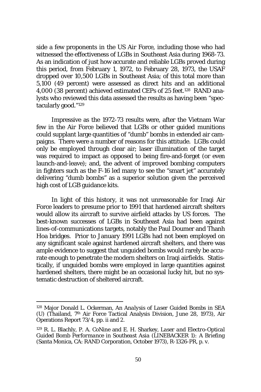side a few proponents in the US Air Force, including those who had witnessed the effectiveness of LGBs in Southeast Asia during 1968-73. As an indication of just how accurate and reliable LGBs proved during this period, from February 1, 1972, to February 28, 1973, the USAF dropped over 10,500 LGBs in Southeast Asia; of this total more than 5,100 (49 percent) were assessed as direct hits and an additional 4,000 (38 percent) achieved estimated CEPs of 25 feet.128 RAND analysts who reviewed this data assessed the results as having been "spectacularly good."129

Impressive as the 1972-73 results were, after the Vietnam War few in the Air Force believed that LGBs or other guided munitions could supplant large quantities of "dumb" bombs in extended air campaigns. There were a number of reasons for this attitude. LGBs could only be employed through clear air; laser illumination of the target was required to impact as opposed to being fire-and-forget (or even launch-and-leave); and, the advent of improved bombing computers in fighters such as the F-16 led many to see the "smart jet" accurately delivering "dumb bombs" as a superior solution given the perceived high cost of LGB guidance kits.

In light of this history, it was not unreasonable for Iraqi Air Force leaders to presume prior to 1991 that hardened aircraft shelters would allow its aircraft to survive airfield attacks by US forces. The best-known successes of LGBs in Southeast Asia had been against lines-of-communications targets, notably the Paul Doumer and Thanh Hoa bridges. Prior to January 1991 LGBs had not been employed on any significant scale against hardened aircraft shelters, and there was ample evidence to suggest that unguided bombs would rarely be accurate enough to penetrate the modern shelters on Iraqi airfields. Statistically, if unguided bombs were employed in large quantities against hardened shelters, there might be an occasional lucky hit, but no systematic destruction of sheltered aircraft.

<sup>128</sup> Major Donald L. Ockerman, *An Analysis of Laser Guided Bombs in SEA (U)* (Thailand, 7th Air Force Tactical Analysis Division, June 28, 1973), Air Operations Report 73/4, pp. ii and 2.

<sup>129</sup> R. L. Blachly, P. A. CoNine and E. H. Sharkey, *Laser and Electro-Optical Guided Bomb Performance in Southeast Asia (LINEBACKER 1): A Briefing* (Santa Monica, CA: RAND Corporation, October 1973), R-1326-PR, p. v.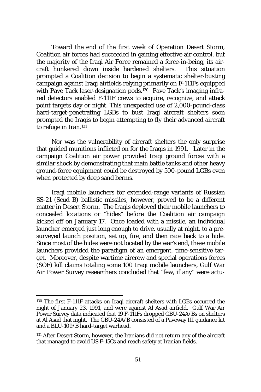Toward the end of the first week of Operation Desert Storm, Coalition air forces had succeeded in gaining effective air control, but the majority of the Iraqi Air Force remained a force-in-being, its aircraft hunkered down inside hardened shelters. This situation prompted a Coalition decision to begin a systematic shelter-busting campaign against Iraqi airfields relying primarily on F-111Fs equipped with Pave Tack laser-designation pods.<sup>130</sup> Pave Tack's imaging infrared detectors enabled F-111F crews to acquire, recognize, and attack point targets day or night. This unexpected use of 2,000-pound-class hard-target-penetrating LGBs to bust Iraqi aircraft shelters soon prompted the Iraqis to begin attempting to fly their advanced aircraft to refuge in Iran.<sup>131</sup>

Nor was the vulnerability of aircraft shelters the only surprise that guided munitions inflicted on for the Iraqis in 1991. Later in the campaign Coalition air power provided Iraqi ground forces with a similar shock by demonstrating that main battle tanks and other heavy ground-force equipment could be destroyed by 500-pound LGBs even when protected by deep sand berms.

Iraqi mobile launchers for extended-range variants of Russian SS-21 (Scud B) ballistic missiles, however, proved to be a different matter in Desert Storm. The Iraqis deployed their mobile launchers to concealed locations or "hides" before the Coalition air campaign kicked off on January 17. Once loaded with a missile, an individual launcher emerged just long enough to drive, usually at night, to a presurveyed launch position, set up, fire, and then race back to a hide. Since most of the hides were not located by the war's end, these mobile launchers provided the paradigm of an emergent, time-sensitive target. Moreover, despite wartime aircrew and special operations forces (SOF) kill claims totaling some 100 Iraqi mobile launchers, Gulf War Air Power Survey researchers concluded that "few, if any" were actu-

<sup>130</sup> The first F-111F attacks on Iraqi aircraft shelters with LGBs occurred the night of January 23, 1991, and were against Al Asad airfield. Gulf War Air Power Survey data indicated that 19 F-111Fs dropped GBU-24A/Bs on shelters at Al Asad that night. The GBU-24A/B consisted of a Paveway III guidance kit and a BLU-109/B hard-target warhead.

<sup>&</sup>lt;sup>131</sup> After Desert Storm, however, the Iranians did not return any of the aircraft that managed to avoid US F-15Cs and reach safety at Iranian fields.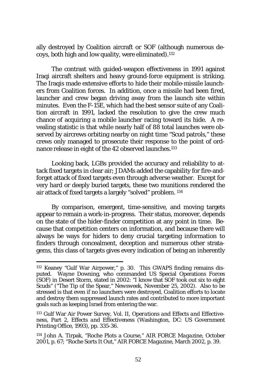ally destroyed by Coalition aircraft or SOF (although numerous decoys, both high and low quality, were eliminated).132

The contrast with guided-weapon effectiveness in 1991 against Iraqi aircraft shelters and heavy ground-force equipment is striking. The Iraqis made extensive efforts to hide their mobile-missile launchers from Coalition forces. In addition, once a missile had been fired, launcher and crew began driving away from the launch site within minutes. Even the F-15E, which had the best sensor suite of any Coalition aircraft in 1991, lacked the resolution to give the crew much chance of acquiring a mobile launcher racing toward its hide. A revealing statistic is that while nearly half of 88 total launches were observed by aircrews orbiting nearby on night time "Scud patrols," these crews only managed to prosecute their response to the point of ordnance release in eight of the 42 observed launches.<sup>133</sup>

Looking back, LGBs provided the accuracy and reliability to attack fixed targets in clear air; JDAMs added the capability for fire-andforget attack of fixed targets even through adverse weather. Except for very hard or deeply buried targets, these two munitions rendered the air attack of fixed targets a largely "solved" problem. 134

By comparison, emergent, time-sensitive, and moving targets appear to remain a work-in-progress. Their status, moreover, depends on the state of the hider-finder competition at any point in time. Because that competition centers on information, and because there will always be ways for hiders to deny crucial targeting information to finders through concealment, deception and numerous other stratagems, this class of targets gives every indication of being an inherently

<sup>132</sup> Keaney "Gulf War Airpower," p. 30. This GWAPS finding remains disputed. Wayne Downing, who commanded US Special Operations Forces (SOF) in Desert Storm, stated in 2002: "I know that SOF took out six to eight Scuds" ("The Tip of the Spear," *Newsweek*, November 25, 2002). Also to be stressed is that even if no launchers were destroyed, Coalition efforts to locate and destroy them suppressed launch rates and contributed to more important goals such as keeping Israel from entering the war.

<sup>133</sup> Gulf War Air Power Survey, Vol. II, *Operations and Effects and Effectiveness*, Part 2, *Effects and Effectiveness* (Washington, DC: US Government Printing Office, 1993), pp. 335-36.

<sup>134</sup> John A. Tirpak, "Roche Plots a Course," *AIR FORCE Magazine*, October 2001, p. 67; "Roche Sorts It Out," *AIR FORCE Magazine*, March 2002, p. 39.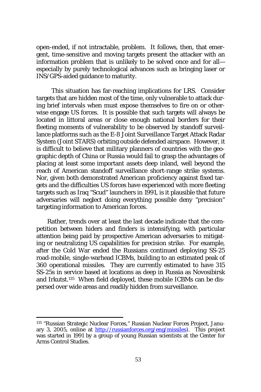open-ended, if not intractable, problem. It follows, then, that emergent, time-sensitive and moving targets present the attacker with an information problem that is unlikely to be solved once and for all especially by purely technological advances such as bringing laser or INS/GPS-aided guidance to maturity.

This situation has far-reaching implications for LRS. Consider targets that are hidden most of the time, only vulnerable to attack during brief intervals when must expose themselves to fire on or otherwise engage US forces. It is possible that such targets will always be located in littoral areas or close enough national borders for their fleeting moments of vulnerability to be observed by standoff surveillance platforms such as the E-8 Joint Surveillance Target Attack Radar System (Joint STARS) orbiting outside defended airspace. However, it is difficult to believe that military planners of countries with the geographic depth of China or Russia would fail to grasp the advantages of placing at least some important assets deep inland, well beyond the reach of American standoff surveillance short-range strike systems. Nor, given both demonstrated American proficiency against fixed targets and the difficulties US forces have experienced with more fleeting targets such as Iraq "Scud" launchers in 1991, is it plausible that future adversaries will neglect doing everything possible deny "precision" targeting information to American forces.

Rather, trends over at least the last decade indicate that the competition between hiders and finders is intensifying, with particular attention being paid by prospective American adversaries to mitigating or neutralizing US capabilities for precision strike. For example, after the Cold War ended the Russians continued deploying SS-25 road-mobile, single-warhead ICBMs, building to an estimated peak of 360 operational missiles. They are currently estimated to have 315 SS-25s in service based at locations as deep in Russia as Novosibirsk and Irkutst.135 When field deployed, these mobile ICBMs can be dispersed over wide areas and readily hidden from surveillance.

<sup>135 &</sup>quot;Russian Strategic Nuclear Forces," Russian Nuclear Forces Project, January 3, 2005, online at http://russianforces.org/eng/missiles). This project was started in 1991 by a group of young Russian scientists at the Center for Arms Control Studies.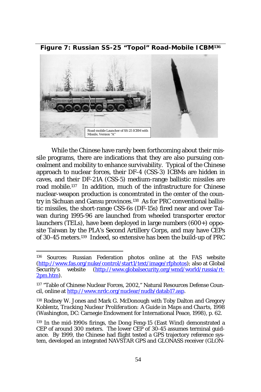Road-mobile Launcher of SS-25 ICBM with Missile, Version "A"

**Figure 7: Russian SS-25 "Topol" Road-Mobile ICBM<sup>136</sup>**

While the Chinese have rarely been forthcoming about their missile programs, there are indications that they are also pursuing concealment and mobility to enhance survivability. Typical of the Chinese approach to nuclear forces, their DF-4 (CSS-3) ICBMs are hidden in caves, and their DF-21A (CSS-5) medium-range ballistic missiles are road mobile.137 In addition, much of the infrastructure for Chinese nuclear-weapon production is concentrated in the center of the country in Sichuan and Gansu provinces.138 As for PRC conventional ballistic missiles, the short-range CSS-6s (DF-15s) fired near and over Taiwan during 1995-96 are launched from wheeled transporter erector launchers (TELs), have been deployed in large numbers (600+) opposite Taiwan by the PLA's Second Artillery Corps, and may have CEPs of 30-45 meters.139 Indeed, so extensive has been the build-up of PRC

<sup>136</sup> Sources: Russian Federation photos online at the FAS website (http://www.fas.org/nuke/control/start1/text/image/rfphotos); also at Global Security's website (http://www.globalsecurity.org/wmd/world/russia/rt- $(\text{http://www.globalsecurity.org/wmd/world/russia/rt-}$ 2pm.htm).

<sup>137 &</sup>quot;Table of Chinese Nuclear Forces, 2002," Natural Resources Defense Council, online at http://www.nrdc.org/nuclear/nudb/datab17.asp.

<sup>138</sup> Rodney W. Jones and Mark G. McDonough with Toby Dalton and Gregory Koblentz, *Tracking Nuclear Proliferation: A Guide in Maps and Charts, 1998* (Washington, DC: Carnegie Endowment for International Peace, 1998), p. 62.

<sup>139</sup> In the mid-1990s firings, the Dong Feng-15 (East Wind) demonstrated a CEP of around 300 meters. The lower CEP of 30-45 assumes terminal guidance. By 1999, the Chinese had flight tested a GPS trajectory reference system, developed an integrated NAVSTAR GPS and GLONASS receiver (GLON-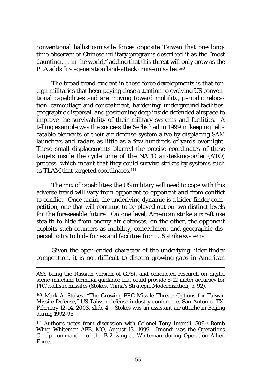conventional ballistic-missile forces opposite Taiwan that one longtime observer of Chinese military programs described it as the "most daunting . . . in the world," adding that this threat will only grow as the PLA adds first-generation land-attack cruise missiles.<sup>140</sup>

The broad trend evident in these force developments is that foreign militaries that been paying close attention to evolving US conventional capabilities and are moving toward mobility, periodic relocation, camouflage and concealment, hardening, underground facilities, geographic dispersal, and positioning deep inside defended airspace to improve the survivability of their military systems and facilities. A telling example was the success the Serbs had in 1999 in keeping relocatable elements of their air defense system alive by displacing SAM launchers and radars as little as a few hundreds of yards overnight. These small displacements blurred the precise coordinates of these targets inside the cycle time of the NATO air-tasking-order (ATO) process, which meant that they could survive strikes by systems such as TLAM that targeted coordinates.141

The mix of capabilities the US military will need to cope with this adverse trend will vary from opponent to opponent and from conflict to conflict. Once again, the underlying dynamic is a hider-finder competition, one that will continue to be played out on two distinct levels for the foreseeable future. On one level, American strike aircraft use stealth to hide from enemy air defenses; on the other, the opponent exploits such counters as mobility, concealment and geographic dispersal to try to hide forces and facilities from US strike systems.

Given the open-ended character of the underlying hider-finder competition, it is not difficult to discern growing gaps in American

ASS being the Russian version of GPS), and conducted research on digital scene-matching terminal guidance that could provide 5-12 meter accuracy for PRC ballistic missiles (Stokes, *China's Strategic Modernization*, p. 92).

<sup>140</sup> Mark A. Stokes, "The Growing PRC Missile Threat: Options for Taiwan Missile Defense," US-Taiwan defense-industry conference, San Antonio, TX, February 12-14, 2003, slide 4. Stokes was an assistant air attaché in Beijing during 1992-95.

<sup>&</sup>lt;sup>141</sup> Author's notes from discussion with Colonel Tony Imondi, 509<sup>th</sup> Bomb Wing, Whiteman AFB, MO, August 13, 1999. Imondi was the Operations Group commander of the B-2 wing at Whiteman during Operation Allied Force.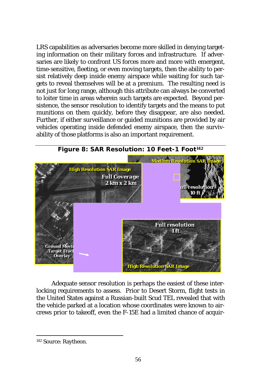LRS capabilities as adversaries become more skilled in denying targeting information on their military forces and infrastructure. If adversaries are likely to confront US forces more and more with emergent, time-sensitive, fleeting, or even moving targets, then the ability to persist relatively deep inside enemy airspace while waiting for such targets to reveal themselves will be at a premium. The resulting need is not *just* for long range, although this attribute can always be converted to loiter time in areas wherein such targets are expected. Beyond persistence, the sensor resolution to identify targets and the means to put munitions on them quickly, before they disappear, are also needed. Further, if either surveillance or guided munitions are provided by air vehicles operating inside defended enemy airspace, then the survivability of those platforms is also an important requirement.



Adequate sensor resolution is perhaps the easiest of these interlocking requirements to assess. Prior to Desert Storm, flight tests in the United States against a Russian-built Scud TEL revealed that with the vehicle parked at a location whose coordinates were known to aircrews prior to takeoff, even the F-15E had a limited chance of acquir-

<sup>142</sup> Source: Raytheon.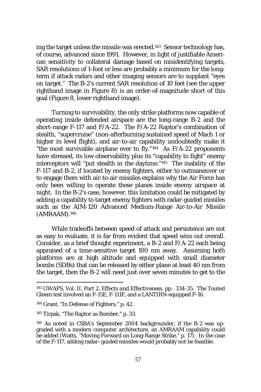ing the target unless the missile was erected.143 Sensor technology has, of course, advanced since 1991. However, in light of justifiable American sensitivity to collateral damage based on misidentifying targets, SAR resolutions of 1-foot or less are probably a minimum for the longterm if attack radars and other imaging sensors are to supplant "eyes on target." The B-2's current SAR resolution of 10 feet (see the upper righthand image in Figure 8) is an order-of-magnitude short of this goal (Figure 8, lower righthand image).

Turning to survivability, the only strike platforms now capable of operating inside defended airspace are the long-range B-2 and the short-range F-117 and F/A-22. The F/A-22 Raptor's combination of stealth, "supercruise" (non-afterburning sustained speed of Mach 1 or higher in level flight), and air-to-air capability undoubtedly make it "the most survivable airplane ever to fly." $144$  As F/A-22 proponents have stressed, its low observability plus its "capability to fight" enemy interceptors will "put stealth in the daytime."145 The inability of the F-117 and B-2, if located by enemy fighters, either to outmaneuver or to engage them with air-to-air missiles explains why the Air Force has only been willing to operate these planes inside enemy airspace at night. In the B-2's case, however, this limitation could be mitigated by adding a capability to target enemy fighters with radar-guided missiles such as the AIM-120 Advanced Medium-Range Air-to-Air Missile (AMRAAM).146

While tradeoffs between speed of attack and persistence are not as easy to evaluate, it is far from evident that speed wins out overall. Consider, as a brief thought experiment, a B-2 and F/A-22 each being appraised of a time-sensitive target 100 nm away. Assuming both platforms are at high altitude and equipped with small diameter bombs (SDBs) that can be released by either plane at least 40 nm from the target, then the B-2 will need just over seven minutes to get to the

<sup>143</sup> GWAPS, Vol. II, Part 2, *Effects and Effectiveness*, pp. 334-35. The Touted Gleem test involved an F-15E, F-111F, and a LANTIRN-equipped F-16.

<sup>144</sup> Grant, "In Defense of Fighters," p. 42.

<sup>145</sup> Tirpak, "The Raptor as Bomber," p. 33.

<sup>146</sup> As noted in CSBA's September 2004 backgrounder, if the B-2 was upgraded with a modern computer architecture, an AMRAAM capability could be added (Watts, "Moving Forward on Long-Range Strike," p. 17). In the case of the F-117, adding radar–guided missiles would probably not be feasible.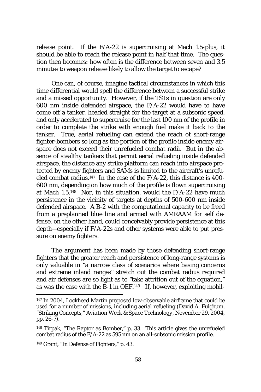release point. If the F/A-22 is supercruising at Mach 1.5-plus, it should be able to reach the release point in half that time. The question then becomes: how often is the difference between seven and 3.5 minutes to weapon release likely to allow the target to escape?

One can, of course, imagine tactical circumstances in which this time differential would spell the difference between a successful strike and a missed opportunity. However, if the TSTs in question are only 600 nm inside defended airspace, the F/A-22 would have to have come off a tanker, headed straight for the target at a subsonic speed, and only accelerated to supercruise for the last 100 nm of the profile in order to complete the strike with enough fuel make it back to the tanker. True, aerial refueling can extend the reach of short-range fighter-bombers so long as the portion of the profile inside enemy airspace does not exceed their unrefueled combat radii. But in the absence of stealthy tankers that permit aerial refueling inside defended airspace, the distance any strike platform can reach into airspace protected by enemy fighters and SAMs is limited to the aircraft's unrefueled combat radius.<sup>147</sup> In the case of the F/A-22, this distance is 400-600 nm, depending on how much of the profile is flown supercruising at Mach 1.5.148 Nor, in this situation, would the F/A-22 have much persistence in the vicinity of targets at depths of 500-600 nm inside defended airspace. A B-2 with the computational capacity to be freed from a preplanned blue line and armed with AMRAAM for self defense, on the other hand, could conceivably provide persistence at this depth—especially if F/A-22s and other systems were able to put pressure on enemy fighters.

The argument has been made by those defending short-range fighters that the greater reach and persistence of long-range systems is only valuable in "a narrow class of scenarios where basing concerns and extreme inland ranges" stretch out the combat radius required and air defenses are so light as to "take attrition out of the equation," as was the case with the B-1 in OEF.149 If, however, exploiting mobil-

<sup>&</sup>lt;sup>147</sup> In 2004, Lockheed Martin proposed low-observable airframe that could be used for a number of missions, including aerial refueling (David A. Fulghum, "Striking Concepts," *Aviation Week & Space Technology*, November 29, 2004, pp. 26-7).

<sup>148</sup> Tirpak, "The Raptor as Bomber," p. 33. This article gives the unrefueled combat radius of the F/A-22 as 595 nm on an all-subsonic mission profile.

<sup>149</sup> Grant, "In Defense of Fighters," p. 43.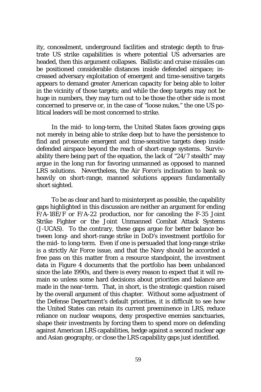ity, concealment, underground facilities and strategic depth to frustrate US strike capabilities is where potential US adversaries are headed, then this argument collapses. Ballistic and cruise missiles can be positioned considerable distances inside defended airspace; increased adversary exploitation of emergent and time-sensitive targets appears to demand greater American capacity for being able to loiter in the vicinity of those targets; and while the deep targets may not be huge in numbers, they may turn out to be those the other side is most concerned to preserve or, in the case of "loose nukes," the one US political leaders will be most concerned to strike.

In the mid- to long-term, the United States faces growing gaps not merely in being able to strike deep but to have the persistence to find and prosecute emergent and time-sensitive targets deep inside defended airspace beyond the reach of short-range systems. Survivability there being part of the equation, the lack of "24/7 stealth" may argue in the long run for favoring unmanned as opposed to manned LRS solutions. Nevertheless, the Air Force's inclination to bank so heavily on short-range, manned solutions appears fundamentally short sighted.

To be as clear and hard to misinterpret as possible, the capability gaps highlighted in this discussion are neither an argument for ending  $F/A-18E/F$  or  $F/A-22$  production, nor for canceling the F-35 Joint Strike Fighter or the Joint Unmanned Combat Attack Systems (J-UCAS). To the contrary, these gaps argue for better balance between long- and short-range strike in DoD's investment portfolio for the mid- to long-term. Even if one is persuaded that long-range strike is a strictly Air Force issue, and that the Navy should be accorded a free pass on this matter from a resource standpoint, the investment data in Figure 4 documents that the portfolio has been unbalanced since the late 1990s, and there is every reason to expect that it will remain so unless some hard decisions about priorities and balance are made in the near-term. That, in short, is the strategic question raised by the overall argument of this chapter. Without some adjustment of the Defense Department's default priorities, it is difficult to see how the United States can retain its current preeminence in LRS, reduce reliance on nuclear weapons, deny prospective enemies sanctuaries, shape their investments by forcing them to spend more on defending against American LRS capabilities, hedge against a second nuclear age and Asian geography, or close the LRS capability gaps just identified.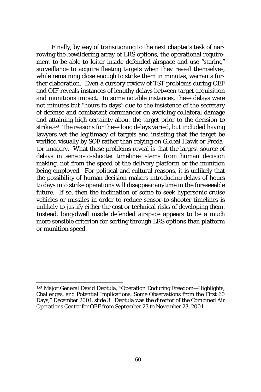Finally, by way of transitioning to the next chapter's task of narrowing the bewildering array of LRS options, the operational requirement to be able to loiter inside defended airspace and use "staring" surveillance to acquire fleeting targets when they reveal themselves, while remaining close enough to strike them in minutes, warrants further elaboration. Even a cursory review of TST problems during OEF and OIF reveals instances of lengthy delays between target acquisition and munitions impact. In some notable instances, these delays were not minutes but "hours to days" due to the insistence of the secretary of defense and combatant commander on avoiding collateral damage and attaining high certainty about the target prior to the decision to strike.150 The reasons for these long delays varied, but included having lawyers vet the legitimacy of targets and insisting that the target be verified visually by SOF rather than relying on Global Hawk or Predator imagery. What these problems reveal is that the largest source of delays in sensor-to-shooter timelines stems from human decision making, not from the speed of the delivery platform or the munition being employed. For political and cultural reasons, it is unlikely that the possibility of human decision makers introducing delays of hours to days into strike operations will disappear anytime in the foreseeable future. If so, then the inclination of some to seek hypersonic cruise vehicles or missiles in order to reduce sensor-to-shooter timelines is unlikely to justify either the cost or technical risks of developing them. Instead, long-dwell inside defended airspace appears to be a much more sensible criterion for sorting through LRS options than platform or munition speed.

<sup>150</sup> Major General David Deptula, "Operation Enduring Freedom—Highlights, Challenges, and Potential Implications: Some Observations from the First 60 Days," December 2001, slide 3. Deptula was the director of the Combined Air Operations Center for OEF from September 23 to November 23, 2001.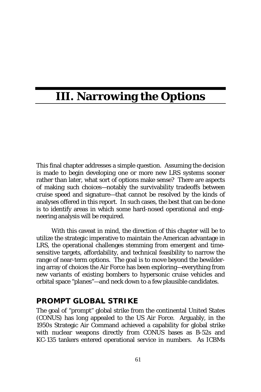# **III. Narrowing the Options**

This final chapter addresses a simple question. Assuming the decision is made to begin developing one or more new LRS systems sooner rather than later, what sort of options make sense? There are aspects of making such choices—notably the survivability tradeoffs between cruise speed and signature—that cannot be resolved by the kinds of analyses offered in this report. In such cases, the best that can be done is to identify areas in which some hard-nosed operational and engineering analysis will be required.

With this caveat in mind, the direction of this chapter will be to utilize the strategic imperative to maintain the American advantage in LRS, the operational challenges stemming from emergent and timesensitive targets, affordability, and technical feasibility to narrow the range of near-term options. The goal is to move beyond the bewildering array of choices the Air Force has been exploring—everything from new variants of existing bombers to hypersonic cruise vehicles and orbital space "planes"—and neck down to a few plausible candidates.

#### **PROMPT GLOBAL STRIKE**

The goal of "prompt" global strike from the continental United States (CONUS) has long appealed to the US Air Force. Arguably, in the 1950s Strategic Air Command achieved a capability for global strike with nuclear weapons directly from CONUS bases as B-52s and KC-135 tankers entered operational service in numbers. As ICBMs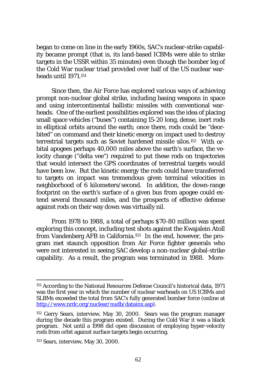began to come on line in the early 1960s, SAC's nuclear-strike capability became prompt (that is, its land-based ICBMs were able to strike targets in the USSR within 35 minutes) even though the bomber leg of the Cold War nuclear triad provided over half of the US nuclear warheads until 1971.151

Since then, the Air Force has explored various ways of achieving prompt non-nuclear global strike, including basing weapons in space and using intercontinental ballistic missiles with conventional warheads. One of the earliest possibilities explored was the idea of placing small space vehicles ("buses") containing 15-20 long, dense, inert rods in elliptical orbits around the earth; once there, rods could be "deorbited" on command and their kinetic energy on impact used to destroy terrestrial targets such as Soviet hardened missile silos.152 With orbital apogees perhaps 40,000 miles above the earth's surface, the velocity change ("delta vee") required to put these rods on trajectories that would intersect the GPS coordinates of terrestrial targets would have been low. But the kinetic energy the rods could have transferred to targets on impact was tremendous given terminal velocities in neighborhood of 6 kilometers/second. In addition, the down-range footprint on the earth's surface of a given bus from apogee could extend several thousand miles, and the prospects of effective defense against rods on their way down was virtually nil.

From 1978 to 1988, a total of perhaps \$70-80 million was spent exploring this concept, including test shots against the Kwajalein Atoll from Vandenberg AFB in California.153 In the end, however, the program met staunch opposition from Air Force fighter generals who were not interested in seeing SAC develop a non-nuclear global-strike capability. As a result, the program was terminated in 1988. More-

<sup>151</sup> According to the National Resources Defense Council's historical data, 1971 was the first year in which the number of nuclear warheads on US ICBMs and SLBMs exceeded the total from SAC's fully generated bomber force (online at http://www.nrdc.org/nuclear/nudb/datainx.asp).

<sup>&</sup>lt;sup>152</sup> Gerry Sears, interview, May 30, 2000. Sears was the program manager during the decade this program existed. During the Cold War it was a black program. Not until a 1998 did open discussion of employing hyper-velocity rods from orbit against surface targets begin occurring.

<sup>153</sup> Sears, interview, May 30, 2000.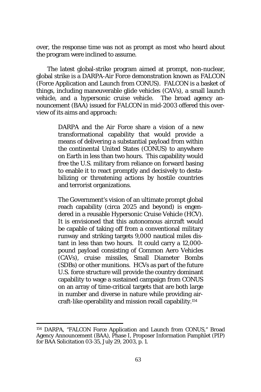over, the response time was not as prompt as most who heard about the program were inclined to assume.

The latest global-strike program aimed at prompt, non-nuclear, global strike is a DARPA-Air Force demonstration known as FALCON (*F*orce *A*pplication and *L*aunch from *CON*US). FALCON is a basket of things, including maneuverable glide vehicles (CAVs), a small launch vehicle, and a hypersonic cruise vehicle. The broad agency announcement (BAA) issued for FALCON in mid-2003 offered this overview of its aims and approach:

> DARPA and the Air Force share a vision of a new transformational capability that would provide a means of delivering a substantial payload from within the continental United States (CONUS) to anywhere on Earth in less than two hours. This capability would free the U.S. military from reliance on forward basing to enable it to react promptly and decisively to destabilizing or threatening actions by hostile countries and terrorist organizations.

> The Government's vision of an ultimate prompt global reach capability (circa 2025 and beyond) is engendered in a reusable Hypersonic Cruise Vehicle (HCV). It is envisioned that this autonomous aircraft would be capable of taking off from a conventional military runway and striking targets 9,000 nautical miles distant in less than two hours. It could carry a 12,000 pound payload consisting of Common Aero Vehicles (CAVs), cruise missiles, Small Diameter Bombs (SDBs) or other munitions. HCVs as part of the future U.S. force structure will provide the country dominant capability to wage a sustained campaign from CONUS on an array of time-critical targets that are both large in number and diverse in nature while providing aircraft-like operability and mission recall capability.154

<sup>154</sup> DARPA, "FALCON *F*orce *A*pplication and *L*aunch from *CON*US," Broad Agency Announcement (BAA), Phase I, Proposer Information Pamphlet (PIP) for BAA Solicitation 03-35, July 29, 2003, p. 1.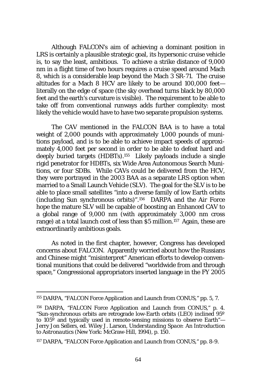Although FALCON's aim of achieving a dominant position in LRS is certainly a plausible strategic goal, its hypersonic cruise vehicle is, to say the least, ambitious. To achieve a strike distance of 9,000 nm in a flight time of two hours requires a cruise speed around Mach 8, which is a considerable leap beyond the Mach 3 SR-71. The cruise altitudes for a Mach 8 HCV are likely to be around 100,000 feet literally on the edge of space (the sky overhead turns black by 80,000 feet and the earth's curvature is visible). The requirement to be able to take off from conventional runways adds further complexity: most likely the vehicle would have to have two separate propulsion systems.

The CAV mentioned in the FALCON BAA is to have a total weight of 2,000 pounds with approximately 1,000 pounds of munitions payload, and is to be able to achieve impact speeds of approximately 4,000 feet per second in order to be able to defeat hard and deeply buried targets (HDBTs).155 Likely payloads include a single rigid penetrator for HDBTs, six Wide Area Autonomous Search Munitions, or four SDBs. While CAVs could be delivered from the HCV, they were portrayed in the 2003 BAA as a separate LRS option when married to a Small Launch Vehicle (SLV). The goal for the SLV is to be able to place small satellites "into a diverse family of low Earth orbits (including Sun synchronous orbits)".156 DARPA and the Air Force hope the mature SLV will be capable of boosting an Enhanced CAV to a global range of 9,000 nm (with approximately 3,000 nm cross range) at a total launch cost of less than \$5 million.157 Again, these are extraordinarily ambitious goals.

As noted in the first chapter, however, Congress has developed concerns about FALCON. Apparently worried about how the Russians and Chinese might "misinterpret" American efforts to develop conventional munitions that could be delivered "worldwide from and through space," Congressional appropriators inserted language in the FY 2005

<sup>155</sup> DARPA, "FALCON *F*orce *A*pplication and *L*aunch from *CON*US," pp. 5, 7.

<sup>156</sup> DARPA, "FALCON *F*orce *A*pplication and *L*aunch from *CON*US," p. 4. "Sun-synchronous orbits are retrograde low-Earth orbits (LEO) inclined 95º to  $105^{\circ}$  and typically used in remote-sensing missions to observe Earth"— Jerry Jon Sellers, ed. Wiley J. Larson, *Understanding Space: An Introduction to Astronautics* (New York: McGraw-Hill, 1994), p. 150.

<sup>157</sup> DARPA, "FALCON *F*orce *A*pplication and *L*aunch from *CON*US," pp. 8-9.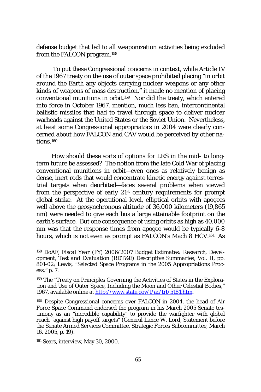defense budget that led to all weaponization activities being excluded from the FALCON program.158

 To put these Congressional concerns in context, while Article IV of the 1967 treaty on the use of outer space prohibited placing "in orbit around the Earth any objects carrying nuclear weapons or any other kinds of weapons of mass destruction," it made no mention of placing conventional munitions in orbit.159 Nor did the treaty, which entered into force in October 1967, mention, much less ban, intercontinental ballistic missiles that had to travel through space to deliver nuclear warheads against the United States or the Soviet Union. Nevertheless, at least some Congressional appropriators in 2004 were clearly concerned about how FALCON and CAV would be perceived by other nations.160

How should these sorts of options for LRS in the mid- to longterm future be assessed? The notion from the late Cold War of placing conventional munitions in orbit—even ones as relatively benign as dense, inert rods that would concentrate kinetic energy against terrestrial targets when deorbited—faces several problems when viewed from the perspective of early 21st century requirements for prompt global strike. At the operational level, elliptical orbits with apogees well above the geosynchronous altitude of 36,000 kilometers (19,865 nm) were needed to give each bus a large attainable footprint on the earth's surface. But one consequence of using orbits as high as 40,000 nm was that the response times from apogee would be typically 6-8 hours, which is not even as prompt as FALCON's Mach 8 HCV.161 As

161 Sears, interview, May 30, 2000.

<sup>158</sup> DoAF, *Fiscal Year (FY) 2006/2007 Budget Estimates: Research, Development, Test and Evaluation (RDT&E) Descriptive Summaries*, Vol. II, pp. 801-02; Lewis, "Selected Space Programs in the 2005 Appropriations Process," p. 7.

<sup>159</sup> The "Treaty on Principles Governing the Activities of States in the Exploration and Use of Outer Space, Including the Moon and Other Celestial Bodies," 1967, available online at http://www.state.gov/t/ac/trt/5181.htm.

<sup>160</sup> Despite Congressional concerns over FALCON in 2004, the head of Air Force Space Command endorsed the program in his March 2005 Senate testimony as an "incredible capability" to provide the warfighter with global reach "against high payoff targets" (General Lance W. Lord, Statement before the Senate Armed Services Committee, Strategic Forces Subcommittee, March 16, 2005, p. 19).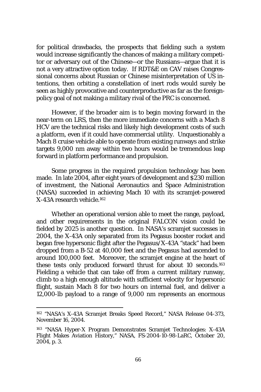for political drawbacks, the prospects that fielding such a system would increase significantly the chances of making a military competitor or adversary out of the Chinese—or the Russians—argue that it is not a very attractive option today. If RDT&E on CAV raises Congressional concerns about Russian or Chinese misinterpretation of US intentions, then orbiting a constellation of inert rods would surely be seen as highly provocative and counterproductive as far as the foreignpolicy goal of not making a military rival of the PRC is concerned.

However, if the broader aim is to begin moving forward in the near-term on LRS, then the more immediate concerns with a Mach 8 HCV are the technical risks and likely high development costs of such a platform, even if it could have commercial utility. Unquestionably a Mach 8 cruise vehicle able to operate from existing runways and strike targets 9,000 nm away within two hours would be tremendous leap forward in platform performance and propulsion.

Some progress in the required propulsion technology has been made. In late 2004, after eight years of development and \$230 million of investment, the National Aeronautics and Space Administration (NASA) succeeded in achieving Mach 10 with its scramjet-powered X-43A research vehicle.162

Whether an operational version able to meet the range, payload, and other requirements in the original FALCON vision could be fielded by 2025 is another question. In NASA's scramjet successes in 2004, the X-43A only separated from its Pegasus booster rocket and began free hypersonic flight after the Pegasus/X-43A "stack" had been dropped from a B-52 at 40,000 feet and the Pegasus had ascended to around 100,000 feet. Moreover, the scramjet engine at the heart of these tests only produced forward thrust for about 10 seconds.163 Fielding a vehicle that can take off from a current military runway, climb to a high enough altitude with sufficient velocity for hypersonic flight, sustain Mach 8 for two hours on internal fuel, and deliver a 12,000-lb payload to a range of 9,000 nm represents an enormous

<sup>162 &</sup>quot;NASA's X-43A Scramjet Breaks Speed Record," NASA Release 04-373, November 16, 2004.

<sup>163 &</sup>quot;NASA Hyper-X Program Demonstrates Scramjet Technologies: X-43A Flight Makes Aviation History," NASA, FS-2004-10-98-LaRC, October 20, 2004, p. 3.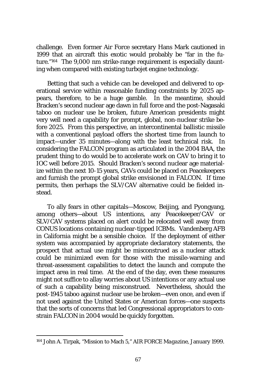challenge. Even former Air Force secretary Hans Mark cautioned in 1999 that an aircraft this exotic would probably be "far in the future."164 The 9,000 nm strike-range requirement is especially daunting when compared with existing turbojet engine technology.

Betting that such a vehicle can be developed and delivered to operational service within reasonable funding constraints by 2025 appears, therefore, to be a huge gamble. In the meantime, should Bracken's second nuclear age dawn in full force and the post-Nagasaki taboo on nuclear use be broken, future American presidents might very well need a capability for prompt, global, non-nuclear strike before 2025. From this perspective, an intercontinental ballistic missile with a conventional payload offers the shortest time from launch to impact—under 35 minutes—along with the least technical risk. In considering the FALCON program as articulated in the 2004 BAA, the prudent thing to do would be to accelerate work on CAV to bring it to IOC well before 2015. Should Bracken's second nuclear age materialize within the next 10-15 years, CAVs could be placed on Peacekeepers and furnish the prompt global strike envisioned in FALCON. If time permits, then perhaps the SLV/CAV alternative could be fielded instead.

To ally fears in other capitals—Moscow, Beijing, and Pyongyang, among others—about US intentions, any Peacekeeper/CAV or SLV/CAV systems placed on alert could be relocated well away from CONUS locations containing nuclear-tipped ICBMs. Vandenberg AFB in California might be a sensible choice. If the deployment of either system was accompanied by appropriate declaratory statements, the prospect that actual use might be misconstrued as a nuclear attack could be minimized even for those with the missile-warning and threat-assessment capabilities to detect the launch and compute the impact area in real time. At the end of the day, even these measures might not suffice to allay worries about US intentions or any actual use of such a capability being misconstrued. Nevertheless, should the post-1945 taboo against nuclear use be broken—even once, and even if not used against the United States or American forces—one suspects that the sorts of concerns that led Congressional appropriators to constrain FALCON in 2004 would be quickly forgotten.

<sup>164</sup> John A. Tirpak, "Mission to Mach 5," *AIR FORCE Magazine*, January 1999.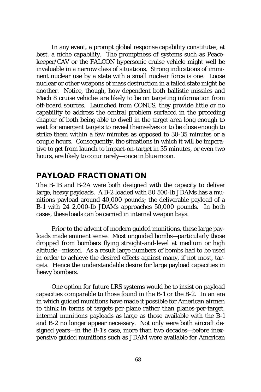In any event, a prompt global response capability constitutes, at best, a niche capability. The promptness of systems such as Peacekeeper/CAV or the FALCON hypersonic cruise vehicle might well be invaluable in a narrow class of situations. Strong indications of imminent nuclear use by a state with a small nuclear force is one. Loose nuclear or other weapons of mass destruction in a failed state might be another. Notice, though, how dependent both ballistic missiles and Mach 8 cruise vehicles are likely to be on targeting information from off-board sources. Launched from CONUS, they provide little or no capability to address the central problem surfaced in the preceding chapter of both being able to dwell in the target area long enough to wait for emergent targets to reveal themselves or to be close enough to strike them within a few minutes as opposed to 30-35 minutes or a couple hours. Consequently, the situations in which it will be imperative to get from launch to impact-on-target in 35 minutes, or even two hours, are likely to occur rarely—once in blue moon.

### **PAYLOAD FRACTIONATION**

The B-1B and B-2A were both designed with the capacity to deliver large, heavy payloads. A B-2 loaded with 80 500-lb JDAMs has a munitions payload around 40,000 pounds; the deliverable payload of a B-1 with 24 2,000-lb JDAMs approaches 50,000 pounds. In both cases, these loads can be carried in internal weapon bays.

Prior to the advent of modern guided munitions, these large payloads made eminent sense. Most unguided bombs—particularly those dropped from bombers flying straight-and-level at medium or high altitude—missed. As a result large numbers of bombs had to be used in order to achieve the desired effects against many, if not most, targets. Hence the understandable desire for large payload capacities in heavy bombers.

One option for future LRS systems would be to insist on payload capacities comparable to those found in the B-1 or the B-2. In an era in which guided munitions have made it possible for American airmen to think in terms of targets-per-plane rather than planes-per-target, internal munitions payloads as large as those available with the B-1 and B-2 no longer appear necessary. Not only were both aircraft designed years—in the B-1's case, more than two decades—before inexpensive guided munitions such as JDAM were available for American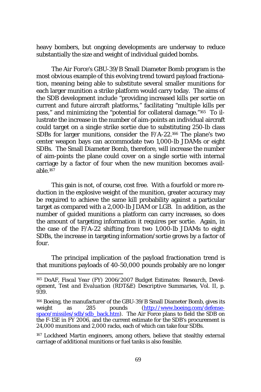heavy bombers, but ongoing developments are underway to reduce substantially the size and weight of individual guided bombs.

The Air Force's GBU-39/B Small Diameter Bomb program is the most obvious example of this evolving trend toward payload fractionation, meaning being able to substitute several smaller munitions for each larger munition a strike platform would carry today. The aims of the SDB development include "providing increased kills per sortie on current and future aircraft platforms," facilitating "multiple kills per pass," and minimizing the "potential for collateral damage."165 To illustrate the increase in the number of aim-points an individual aircraft could target on a single strike sortie due to substituting 250-lb class SDBs for larger munitions, consider the F/A-22.166 The plane's two center weapon bays can accommodate two 1,000-lb JDAMs or eight SDBs. The Small Diameter Bomb, therefore, will increase the number of aim-points the plane could cover on a single sortie with internal carriage by a factor of four when the new munition becomes available.167

This gain is not, of course, cost free. With a fourfold or more reduction in the explosive weight of the munition, greater accuracy may be required to achieve the same kill probability against a particular target as compared with a 2,000-lb JDAM or LGB. In addition, as the number of guided munitions a platform can carry increases, so does the amount of targeting information it requires per sortie. Again, in the case of the F/A-22 shifting from two 1,000-lb JDAMs to eight SDBs, the increase in targeting information/sortie grows by a factor of four.

The principal implication of the payload fractionation trend is that munitions payloads of 40-50,000 pounds probably are no longer

<sup>165</sup> DoAF, *Fiscal Year (FY) 2006/2007 Budget Estimates: Research, Development, Test and Evaluation (RDT&E) Descriptive Summaries*, Vol. II, p. 939.

<sup>166</sup> Boeing, the manufacturer of the GBU-39/B Small Diameter Bomb, gives its weight as 285 pounds (http://www.boeing.com/defensespace/missiles/sdb/sdb\_back.htm). The Air Force plans to field the SDB on the F-15E in FY 2006, and the current estimate for the SDB's procurement is 24,000 munitions and 2,000 racks, each of which can take four SDBs.

<sup>167</sup> Lockheed Martin engineers, among others, believe that stealthy external carriage of additional munitions or fuel tanks is also feasible.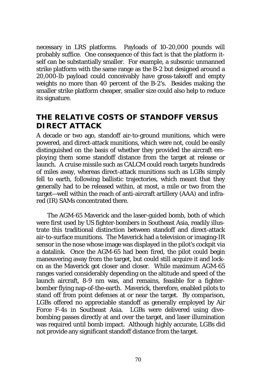necessary in LRS platforms. Payloads of 10-20,000 pounds will probably suffice. One consequence of this fact is that the platform itself can be substantially smaller. For example, a subsonic unmanned strike platform with the same range as the B-2 but designed around a 20,000-lb payload could conceivably have gross-takeoff and empty weights no more than 40 percent of the B-2's. Besides making the smaller strike platform cheaper, smaller size could also help to reduce its signature.

## **THE RELATIVE COSTS OF STANDOFF VERSUS DIRECT ATTACK**

A decade or two ago, standoff air-to-ground munitions, which were powered, and direct-attack munitions, which were not, could be easily distinguished on the basis of whether they provided the aircraft employing them some standoff distance from the target at release or launch. A cruise missile such as CALCM could reach targets hundreds of miles away, whereas direct-attack munitions such as LGBs simply fell to earth, following ballistic trajectories, which meant that they generally had to be released within, at most, a mile or two from the target—well within the reach of anti-aircraft artillery (AAA) and infrared (IR) SAMs concentrated there.

The AGM-65 Maverick and the laser-guided bomb, both of which were first used by US fighter-bombers in Southeast Asia, readily illustrate this traditional distinction between standoff and direct-attack air-to-surface munitions. The Maverick had a television or imaging-IR sensor in the nose whose image was displayed in the pilot's cockpit via a datalink. Once the AGM-65 had been fired, the pilot could begin maneuvering away from the target, but could still acquire it and lockon as the Maverick got closer and closer. While maximum AGM-65 ranges varied considerably depending on the altitude and speed of the launch aircraft, 8-9 nm was, and remains, feasible for a fighterbomber flying nap-of-the-earth. Maverick, therefore, enabled pilots to stand off from point defenses at or near the target. By comparison, LGBs offered no appreciable standoff as generally employed by Air Force F-4s in Southeast Asia. LGBs were delivered using divebombing passes directly at and over the target, and laser illumination was required until bomb impact. Although highly accurate, LGBs did not provide any significant standoff distance from the target.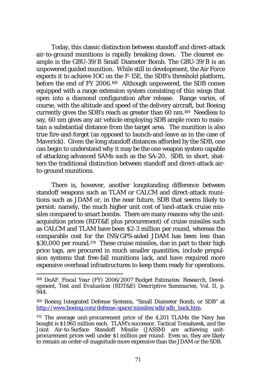Today, this classic distinction between standoff and direct-attack air-to-ground munitions is rapidly breaking down. The clearest example is the GBU-39/B Small Diameter Bomb. The GBU-39/B is an unpowered guided munition. While still in development, the Air Force expects it to achieve IOC on the F-15E, the SDB's threshold platform, before the end of FY 2006.168 Although unpowered, the SDB comes equipped with a range extension system consisting of thin wings that open into a diamond configuration after release. Range varies, of course, with the altitude and speed of the delivery aircraft, but Boeing currently gives the SDB's reach as greater than 60 nm.169 Needless to say, 60 nm gives any air vehicle employing SDB ample room to maintain a substantial distance from the target area. The munition is also true fire-and-forget (as opposed to launch-and-leave as in the case of Maverick). Given the long standoff distances afforded by the SDB, one can begin to understand why it may be the one weapon system capable of attacking advanced SAMs such as the SA-20. SDB, in short, shatters the traditional distinction between standoff and direct-attack airto-ground munitions.

There is, however, another longstanding difference between standoff weapons such as TLAM or CALCM and direct-attack munitions such as JDAM or, in the near future, SDB that seems likely to persist: namely, the much higher unit cost of land-attack cruise missiles compared to smart bombs. There are many reasons why the unitacquisition prices (RDT&E plus procurement) of cruise missiles such as CALCM and TLAM have been \$2-3 million per round, whereas the comparable cost for the INS/GPS-aided JDAM has been less than \$30,000 per round.170 These cruise missiles, due in part to their high price tags, are procured in much smaller quantities, include propulsion systems that free-fall munitions lack, and have required more expensive overhead infrastructures to keep them ready for operations.

<sup>168</sup> DoAF, *Fiscal Year (FY) 2006/2007 Budget Estimates: Research, Development, Test and Evaluation (RDT&E) Descriptive Summaries*, Vol. II, p. 944.

<sup>169</sup> Boeing Integrated Defense Systems, "Small Diameter Bomb, or SDB" at http://www.boeing.com/defense-space/missiles/sdb/sdb\_back.htm.

<sup>&</sup>lt;sup>170</sup> The average unit-procurement price of the 4,201 TLAMs the Navy has bought is \$1.965 million each. TLAM's successor, Tactical Tomahawk, and the Joint Air-to-Surface Standoff Missile (JASSM) are achieving unitprocurement prices well under \$1 million per round. Even so, they are likely to remain an order-of-magnitude more expensive than the JDAM or the SDB.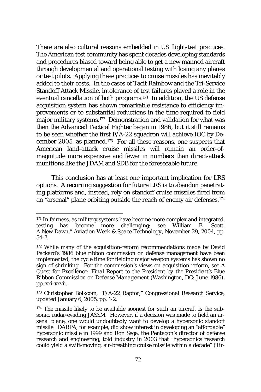There are also cultural reasons embedded in US flight-test practices. The American test community has spent decades developing standards and procedures biased toward being able to get a new manned aircraft through developmental and operational testing with losing any planes or test pilots. Applying these practices to cruise missiles has inevitably added to their costs. In the cases of Tacit Rainbow and the Tri-Service Standoff Attack Missile, intolerance of test failures played a role in the eventual cancellation of both programs.171 In addition, the US defense acquisition system has shown remarkable resistance to efficiency improvements or to substantial reductions in the time required to field major military systems.172 Demonstration and validation for what was then the Advanced Tactical Fighter began in 1986, but it still remains to be seen whether the first F/A-22 squadron will achieve IOC by December 2005, as planned.173 For all these reasons, one suspects that American land-attack cruise missiles will remain an order-ofmagnitude more expensive and fewer in numbers than direct-attack munitions like the JDAM and SDB for the foreseeable future.

This conclusion has at least one important implication for LRS options. A recurring suggestion for future LRS is to abandon penetrating platforms and, instead, rely on standoff cruise missiles fired from an "arsenal" plane orbiting outside the reach of enemy air defenses.174

<sup>&</sup>lt;sup>171</sup> In fairness, as military systems have become more complex and integrated, testing has become more challenging: see William B. Scott, A New Dawn," *Aviation Week & Space Technology*, November 29, 2004, pp. 54-7.

<sup>&</sup>lt;sup>172</sup> While many of the acquisition-reform recommendations made by David Packard's 1986 blue ribbon commission on defense management have been implemented, the cycle time for fielding major weapon systems has shown no sign of shrinking. For the commission's views on acquisition reform, see *A Quest for Excellence: Final Report to the President by the President's Blue Ribbon Commission on Defense Management* (Washington, DC: June 1986), pp. xxi-xxvii.

<sup>173</sup> Christopher Bolkcom, "F/A-22 Raptor," Congressional Research Service, updated January 6, 2005, pp. 1-2.

<sup>174</sup> The missile likely to be available soonest for such an aircraft is the subsonic, radar-evading JASSM. However, if a decision was made to field an arsenal plane, one would undoubtedly want to develop a hypersonic standoff missile. DARPA, for example, did show interest in developing an "affordable" hypersonic missile in 1999 and Ron Sega, the Pentagon's director of defense research and engineering, told industry in 2003 that "hypersonics research could yield a swift-moving, air-breathing cruise missile within a decade" (Tir-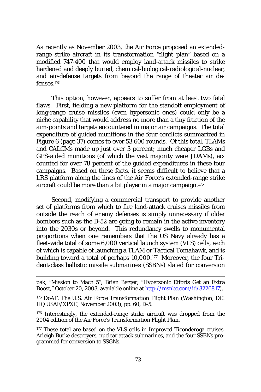As recently as November 2003, the Air Force proposed an extendedrange strike aircraft in its transformation "flight plan" based on a modified 747-400 that would employ land-attack missiles to strike hardened and deeply buried, chemical-biological-radiological-nuclear, and air-defense targets from beyond the range of theater air defenses.175

This option, however, appears to suffer from at least two fatal flaws. First, fielding a new platform for the standoff employment of long-range cruise missiles (even hypersonic ones) could only be a niche capability that would address no more than a tiny fraction of the aim-points and targets encountered in major air campaigns. The total expenditure of guided munitions in the four conflicts summarized in Figure 6 (page 37) comes to over 53,600 rounds. Of this total, TLAMs and CALCMs made up just over 3 percent; much cheaper LGBs and GPS-aided munitions (of which the vast majority were JDAMs), accounted for over 78 percent of the guided expenditures in these four campaigns. Based on these facts, it seems difficult to believe that a LRS platform along the lines of the Air Force's extended-range strike aircraft could be more than a bit player in a major campaign.176

Second, modifying a commercial transport to provide another set of platforms from which to fire land-attack cruises missiles from outside the reach of enemy defenses is simply unnecessary if older bombers such as the B-52 are going to remain in the active inventory into the 2030s or beyond. This redundancy swells to monumental proportions when one remembers that the US Navy already has a fleet-wide total of some 6,000 vertical launch system (VLS) cells, each of which is capable of launching a TLAM or Tactical Tomahawk, and is building toward a total of perhaps 10,000.177 Moreover, the four Trident-class ballistic missile submarines (SSBNs) slated for conversion

pak, "Mission to Mach 5"; Brian Berger, "Hypersonic Efforts Get an Extra Boost," October 20, 2003, available online at http://msnbc.com/id/3226817).

<sup>175</sup> DoAF, *The U.S. Air Force Transformation Flight Plan* (Washington, DC: HQ USAF/XPXC, November 2003), pp. 60, D-5.

<sup>176</sup> Interestingly, the extended-range strike aircraft was dropped from the 2004 edition of the Air Force's *Transformation Flight Plan*.

<sup>&</sup>lt;sup>177</sup> These total are based on the VLS cells in Improved Ticonderoga cruises, Arleigh Burke destroyers, nuclear attack submarines, and the four SSBNs programmed for conversion to SSGNs.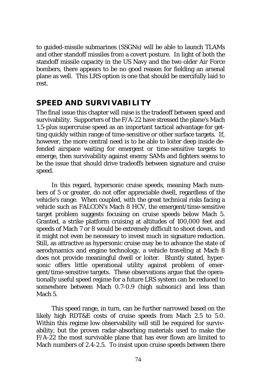to guided-missile submarines (SSGNs) will be able to launch TLAMs and other standoff missiles from a covert posture. In light of both the standoff missile capacity in the US Navy and the two older Air Force bombers, there appears to be no good reason for fielding an arsenal plane as well. This LRS option is one that should be mercifully laid to rest.

#### **SPEED AND SURVIVABILITY**

The final issue this chapter will raise is the tradeoff between speed and survivability. Supporters of the F/A-22 have stressed the plane's Mach 1.5-plus supercruise speed as an important tactical advantage for getting quickly within range of time-sensitive or other surface targets. If, however, the more central need is to be able to loiter deep inside defended airspace waiting for emergent or time-sensitive targets to emerge, then survivability against enemy SAMs and fighters seems to be the issue that should drive tradeoffs between signature and cruise speed.

In this regard, hypersonic cruise speeds, meaning Mach numbers of 5 or greater, do not offer appreciable dwell, regardless of the vehicle's range. When coupled, with the great technical risks facing a vehicle such as FALCON's Mach 8 HCV, the emergent/time-sensitive target problem suggests focusing on cruise speeds below Mach 5. Granted, a strike platform cruising at altitudes of 100,000 feet and speeds of Mach 7 or 8 would be extremely difficult to shoot down, and it might not even be necessary to invest much in signature reduction. Still, as attractive as hypersonic cruise may be to advance the state of aerodynamics and engine technology, a vehicle traveling at Mach 8 does not provide meaningful dwell or loiter. Bluntly stated, hypersonic offers little operational utility against problem of emergent/time-sensitive targets. These observations argue that the operationally useful speed regime for a future LRS system can be reduced to somewhere between Mach 0.7-0.9 (high subsonic) and less than Mach 5.

This speed range, in turn, can be further narrowed based on the likely high RDT&E costs of cruise speeds from Mach 2.5 to 5.0. Within this regime low observability will still be required for survivability, but the proven radar-absorbing materials used to make the F/A-22 the most survivable plane that has ever flown are limited to Mach numbers of 2.4-2.5. To insist upon cruise speeds between there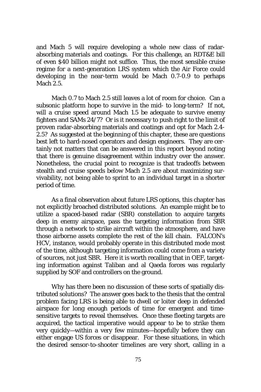and Mach 5 will require developing a whole new class of radarabsorbing materials and coatings. For this challenge, an RDT&E bill of even \$40 billion might not suffice. Thus, the most sensible cruise regime for a next-generation LRS system which the Air Force could developing in the near-term would be Mach 0.7-0.9 to perhaps Mach 2.5.

Mach 0.7 to Mach 2.5 still leaves a lot of room for choice. Can a subsonic platform hope to survive in the mid- to long-term? If not, will a cruise speed around Mach 1.5 be adequate to survive enemy fighters and SAMs 24/7? Or is it necessary to push right to the limit of proven radar-absorbing materials and coatings and opt for Mach 2.4- 2.5? As suggested at the beginning of this chapter, these are questions best left to hard-nosed operators and design engineers. They are certainly not matters that can be answered in this report beyond noting that there is genuine disagreement within industry over the answer. Nonetheless, the crucial point to recognize is that tradeoffs between stealth and cruise speeds below Mach 2.5 are about maximizing survivability, not being able to sprint to an individual target in a shorter period of time.

As a final observation about future LRS options, this chapter has not explicitly broached distributed solutions. An example might be to utilize a spaced-based radar (SBR) constellation to acquire targets deep in enemy airspace, pass the targeting information from SBR through a network to strike aircraft within the atmosphere, and have those airborne assets complete the rest of the kill chain. FALCON's HCV, instance, would probably operate in this distributed mode most of the time, although targeting information could come from a variety of sources, not just SBR. Here it is worth recalling that in OEF, targeting information against Taliban and al Qaeda forces was regularly supplied by SOF and controllers on the ground.

Why has there been no discussion of these sorts of spatially distributed solutions? The answer goes back to the thesis that the central problem facing LRS is being able to dwell or loiter deep in defended airspace for long enough periods of time for emergent and timesensitive targets to reveal themselves. Once these fleeting targets are acquired, the tactical imperative would appear to be to strike them very quickly—within a very few minutes—hopefully before they can either engage US forces or disappear. For these situations, in which the desired sensor-to-shooter timelines are very short, calling in a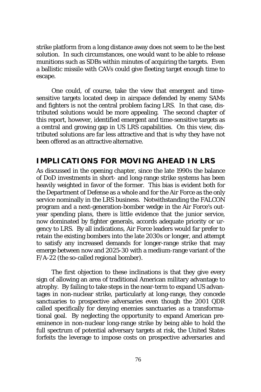strike platform from a long distance away does not seem to be the best solution. In such circumstances, one would want to be able to release munitions such as SDBs within minutes of acquiring the targets. Even a ballistic missile with CAVs could give fleeting target enough time to escape.

One could, of course, take the view that emergent and timesensitive targets located deep in airspace defended by enemy SAMs and fighters is not the central problem facing LRS. In that case, distributed solutions would be more appealing. The second chapter of this report, however, identified emergent and time-sensitive targets as a central and growing gap in US LRS capabilities. On this view, distributed solutions are far less attractive and that is why they have not been offered as an attractive alternative.

## **IMPLICATIONS FOR MOVING AHEAD IN LRS**

As discussed in the opening chapter, since the late 1990s the balance of DoD investments in short- and long-range strike systems has been heavily weighted in favor of the former. This bias is evident both for the Department of Defense as a whole and for the Air Force as the only service nominally in the LRS business. Notwithstanding the FALCON program and a next-generation-bomber wedge in the Air Force's outyear spending plans, there is little evidence that the junior service, now dominated by fighter generals, accords adequate priority or urgency to LRS. By all indications, Air Force leaders would far prefer to retain the existing bombers into the late 2030s or longer, and attempt to satisfy any increased demands for longer-range strike that may emerge between now and 2025-30 with a medium-range variant of the F/A-22 (the so-called regional bomber).

The first objection to these inclinations is that they give every sign of allowing an area of traditional American military advantage to atrophy. By failing to take steps in the near-term to expand US advantages in non-nuclear strike, particularly at long-range, they concede sanctuaries to prospective adversaries even though the 2001 QDR called specifically for denying enemies sanctuaries as a transformational goal. By neglecting the opportunity to expand American preeminence in non-nuclear long-range strike by being able to hold the full spectrum of potential adversary targets at risk, the United States forfeits the leverage to impose costs on prospective adversaries and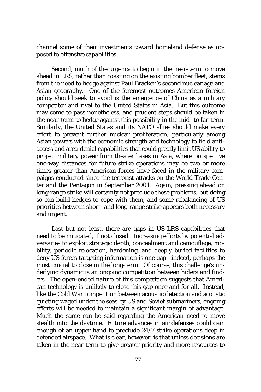channel some of their investments toward homeland defense as opposed to offensive capabilities.

Second, much of the urgency to begin in the near-term to move ahead in LRS, rather than coasting on the existing bomber fleet, stems from the need to hedge against Paul Bracken's second nuclear age and Asian geography. One of the foremost outcomes American foreign policy should seek to avoid is the emergence of China as a military competitor and rival to the United States in Asia. But this outcome may come to pass nonetheless, and prudent steps should be taken in the near-term to hedge against this possibility in the mid- to far-term. Similarly, the United States and its NATO allies should make every effort to prevent further nuclear proliferation, particularly among Asian powers with the economic strength and technology to field antiaccess and area-denial capabilities that could greatly limit US ability to project military power from theater bases in Asia, where prospective one-way distances for future strike operations may be two or more times greater than American forces have faced in the military campaigns conducted since the terrorist attacks on the World Trade Center and the Pentagon in September 2001. Again, pressing ahead on long-range strike will certainly not preclude these problems, but doing so can build hedges to cope with them, and some rebalancing of US priorities between short- and long-range strike appears both necessary and urgent.

Last but not least, there are gaps in US LRS capabilities that need to be mitigated, if not closed. Increasing efforts by potential adversaries to exploit strategic depth, concealment and camouflage, mobility, periodic relocation, hardening, and deeply buried facilities to deny US forces targeting information is one gap—indeed, perhaps the most crucial to close in the long-term. Of course, this challenge's underlying dynamic is an ongoing competition between hiders and finders. The open-ended nature of this competition suggests that American technology is unlikely to close this gap once and for all. Instead, like the Cold War competition between acoustic detection and acoustic quieting waged under the seas by US and Soviet submariners, ongoing efforts will be needed to maintain a significant margin of advantage. Much the same can be said regarding the American need to move stealth into the daytime. Future advances in air defenses could gain enough of an upper hand to preclude 24/7 strike operations deep in defended airspace. What is clear, however, is that unless decisions are taken in the near-term to give greater priority and more resources to